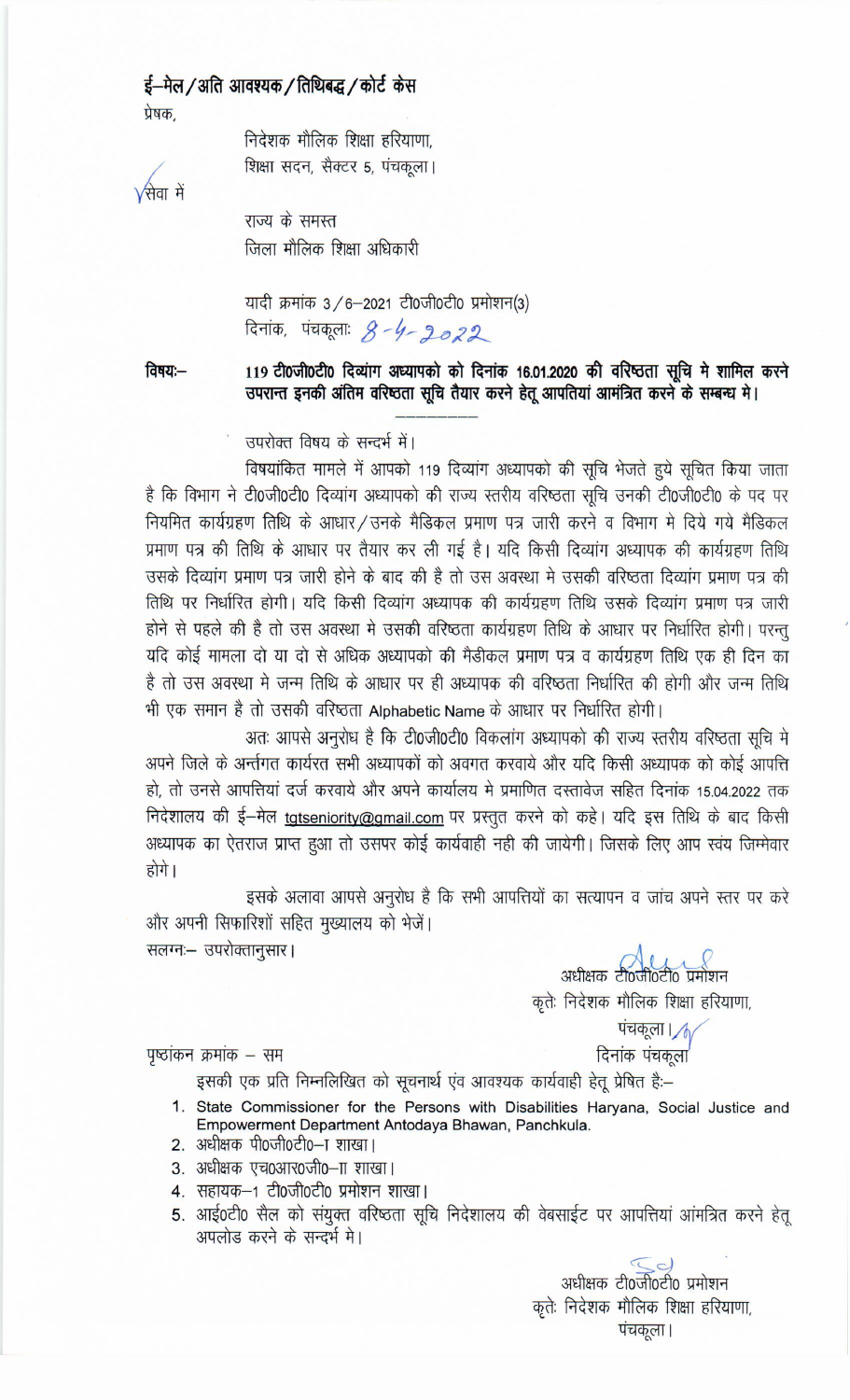# ई—मेल / अति आवश्यक / तिथिबद्ध / कोर्ट केस प्रेषक.

निदेशक मौलिक शिक्षा हरियाणा, शिक्षा सदन, सैक्टर 5, पंचकूला।

 $\sqrt{\dot{\mathcal{H}}}$ वा में

राज्य के समस्त जिला मौलिक शिक्षा अधिकारी

यादी क्रमांक 3/6-2021 टी0जी0टी0 प्रमोशन(3) दिनांक, पंचकूलाः 8-4-2022

119 टी0जी0टी0 दिव्यांग अध्यापको को दिनांक 16.01.2020 की वरिष्ठता सूचि मे शामिल करने ਰਿਥਧ:— उपरान्त इनकी अंतिम वरिष्ठता सूचि तैयार करने हेतू आपतियां आमंत्रित करने के सम्बन्ध मे।

उपरोक्त विषय के सन्दर्भ में।

विषयांकित मामले में आपको 119 दिव्यांग अध्यापको की सूचि भेजते हुये सूचित किया जाता है कि विभाग ने टी0जी0टी0 दिव्यांग अध्यापको की राज्य स्तरीय वरिष्ठता सूचि उनकी टी0जी0टी0 के पद पर नियमित कार्यग्रहण तिथि के आधार/उनके मैडिकल प्रमाण पत्र जारी करने व विभाग मे दिये गये मैडिकल प्रमाण पत्र की तिथि के आधार पर तैयार कर ली गई है। यदि किसी दिव्यांग अध्यापक की कार्यग्रहण तिथि उसके दिव्यांग प्रमाण पत्र जारी होने के बाद की है तो उस अवस्था मे उसकी वरिष्ठता दिव्यांग प्रमाण पत्र की तिथि पर निर्धारित होगी। यदि किसी दिव्यांग अध्यापक की कार्यग्रहण तिथि उसके दिव्यांग प्रमाण पत्र जारी होने से पहले की है तो उस अवस्था मे उसकी वरिष्ठता कार्यग्रहण तिथि के आधार पर निर्धारित होगी। परन्तु यदि कोई मामला दो या दो से अधिक अध्यापको की मैडीकल प्रमाण पत्र व कार्यग्रहण तिथि एक ही दिन का है तो उस अवस्था मे जन्म तिथि के आधार पर ही अध्यापक की वरिष्ठता निर्धारित की होगी और जन्म तिथि भी एक समान है तो उसकी वरिष्ठता Alphabetic Name के आधार पर निर्धारित होगी।

अतः आपसे अनुरोध है कि टी0जी0टी0 विकलांग अध्यापको की राज्य स्तरीय वरिष्ठता सुचि मे अपने जिले के अर्न्तगत कार्यरत सभी अध्यापकों को अवगत करवाये और यदि किसी अध्यापक को कोई आपत्ति हो. तो उनसे आपत्तियां दर्ज करवाये और अपने कार्यालय मे प्रमाणित दस्तावेज सहित दिनांक 15.04.2022 तक निदेशालय की ई-मेल tgtseniority@gmail.com पर प्रस्तुत करने को कहे। यदि इस तिथि के बाद किसी अध्यापक का ऐतराज प्राप्त हुआ तो उसपर कोई कार्यवाही नही की जायेगी। जिसके लिए आप स्वंय जिम्मेवार होगे।

इसके अलावा आपसे अनुरोध है कि सभी आपत्तियों का सत्यापन व जांच अपने स्तर पर करे और अपनी सिफारिशों सहित मुख्यालय को भेजें। सलग्नः- उपरोक्तानुसार।

 $\frac{1}{2}$ अधीक्षक टी०जी०टी० प्रमोशन कृतेः निदेशक मौलिक शिक्षा हरियाणा,

> पचकूला | 1 दिनांक पंचकूला'

पृष्ठांकन क्रमांक – सम

इसकी एक प्रति निम्नलिखित को सूचनार्थ एंव आवश्यक कार्यवाही हेतू प्रेषित हैं:–

- 1. State Commissioner for the Persons with Disabilities Haryana, Social Justice and Empowerment Department Antodaya Bhawan, Panchkula.
- 2. अधीक्षक पी0जी0टी0-ा शाखा।
- 3. अधीक्षक एच0आर0जी0-ाा शाखा।
- 4. सहायक–1 टी0जी0टी0 प्रमोशन शाखा।
- 5. आई0टी0 सैल को संयुक्त वरिष्ठता सूचि निदेशालय की वेबसाईट पर आपत्तियां आंमत्रित करने हेतू अपलोड करने के सन्दर्भ मे।

 $\geq$ अधीक्षक टी0जी0टी0 प्रमोशन कृतेः निदेशक मौलिक शिक्षा हरियाणा, पंचकूला |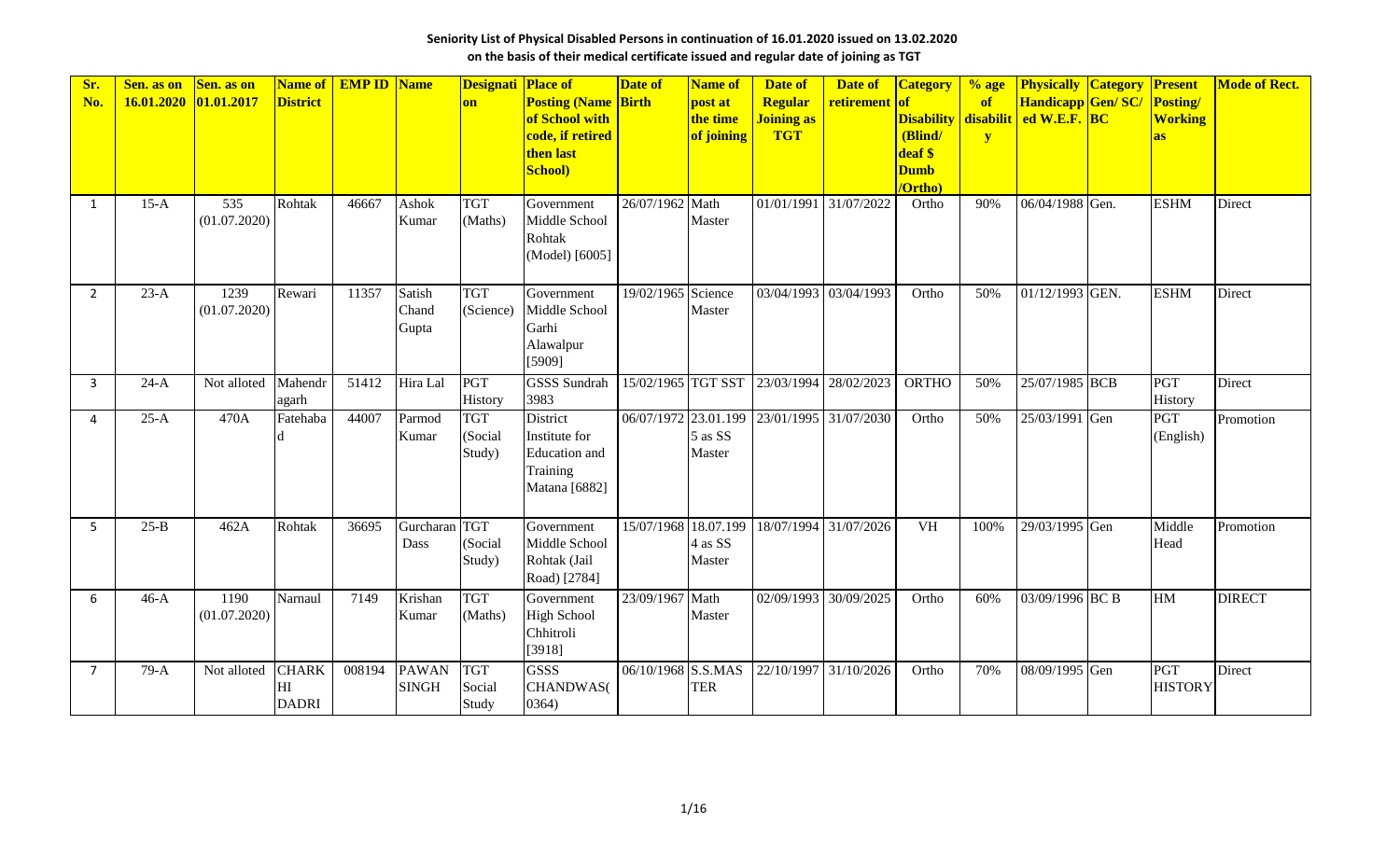| Sr.<br>No.     | Sen. as on<br>16.01.2020 | Sen. as on<br>01.01.2017 | Name of<br><b>District</b>         | <b>EMP ID Name</b> |                                 | <b>Designati Place of</b><br>on | <b>Posting (Name Birth</b><br>of School with<br>code, if retired<br>then last<br>School) | <b>Date of</b>                  | <b>Name of</b><br>post at<br>the time<br>of joining | Date of<br><b>Regular</b><br>Joining as<br><b>TGT</b> | Date of<br>retirement | <b>Category</b><br> of<br><b>Disability</b><br>(Blind/<br>deaf \$<br><b>Dumb</b><br>/Ortho) | $%$ age<br>of<br>$\mathbf{y}$ | <b>Physically Category</b><br>Handicapp Gen/SC/<br>disabilit ed W.E.F. BC | Present<br>Posting/<br><b>Working</b><br>as | <b>Mode of Rect.</b> |
|----------------|--------------------------|--------------------------|------------------------------------|--------------------|---------------------------------|---------------------------------|------------------------------------------------------------------------------------------|---------------------------------|-----------------------------------------------------|-------------------------------------------------------|-----------------------|---------------------------------------------------------------------------------------------|-------------------------------|---------------------------------------------------------------------------|---------------------------------------------|----------------------|
| $\mathbf{1}$   | $15-A$                   | 535<br>(01.07.2020)      | Rohtak                             | 46667              | Ashok<br>Kumar                  | <b>TGT</b><br>(Maths)           | Government<br>Middle School<br>Rohtak<br>(Model) [6005]                                  | 26/07/1962                      | Math<br>Master                                      | 01/01/1991 31/07/2022                                 |                       | Ortho                                                                                       | 90%                           | 06/04/1988 Gen.                                                           | <b>ESHM</b>                                 | Direct               |
| $\overline{2}$ | $23-A$                   | 1239<br>(01.07.2020)     | Rewari                             | 11357              | <b>Satish</b><br>Chand<br>Gupta | <b>TGT</b><br>(Science)         | Government<br>Middle School<br>Garhi<br>Alawalpur<br>[5909]                              | 19/02/1965 Science              | Master                                              | 03/04/1993                                            | 03/04/1993            | Ortho                                                                                       | 50%                           | 01/12/1993 GEN.                                                           | <b>ESHM</b>                                 | Direct               |
| 3              | $24-A$                   | Not alloted              | Mahendr<br>agarh                   | 51412              | Hira Lal                        | PGT<br>History                  | <b>GSSS Sundrah</b><br>3983                                                              | 15/02/1965 TGT SST 23/03/1994   |                                                     |                                                       | 28/02/2023            | <b>ORTHO</b>                                                                                | 50%                           | 25/07/1985 BCB                                                            | PGT<br>History                              | Direct               |
| 4              | $25-A$                   | 470A                     | Fatehaba                           | 44007              | Parmod<br>Kumar                 | <b>TGT</b><br>(Social<br>Study) | <b>District</b><br>Institute for<br><b>Education</b> and<br>Training<br>Matana [6882]    | 06/07/1972 23.01.199 23/01/1995 | $5$ as SS<br>Master                                 |                                                       | 31/07/2030            | Ortho                                                                                       | 50%                           | 25/03/1991 Gen                                                            | <b>PGT</b><br>(English)                     | Promotion            |
| 5              | $25-B$                   | 462A                     | Rohtak                             | 36695              | Gurcharan<br>Dass               | <b>TGT</b><br>(Social<br>Study) | Government<br>Middle School<br>Rohtak (Jail<br>Road) [2784]                              | 15/07/1968 18.07.199            | 4 as SS<br>Master                                   | 18/07/1994                                            | 31/07/2026            | <b>VH</b>                                                                                   | 100%                          | 29/03/1995 Gen                                                            | Middle<br>Head                              | Promotion            |
| 6              | $46-A$                   | 1190<br>(01.07.2020)     | Narnaul                            | 7149               | Krishan<br>Kumar                | <b>TGT</b><br>(Maths)           | Government<br><b>High School</b><br>Chhitroli<br>[3918]                                  | 23/09/1967                      | Math<br>Master                                      | 02/09/1993                                            | 30/09/2025            | Ortho                                                                                       | 60%                           | 03/09/1996 BC B                                                           | HM                                          | <b>DIRECT</b>        |
| $\overline{7}$ | $79-A$                   | Not alloted              | <b>CHARK</b><br>НI<br><b>DADRI</b> | 008194             | <b>PAWAN</b><br><b>SINGH</b>    | <b>TGT</b><br>Social<br>Study   | <b>GSSS</b><br><b>CHANDWAS</b> (<br>0364)                                                | 06/10/1968                      | S.S.MAS<br><b>TER</b>                               | 22/10/1997 31/10/2026                                 |                       | Ortho                                                                                       | 70%                           | 08/09/1995 Gen                                                            | PGT<br><b>HISTORY</b>                       | Direct               |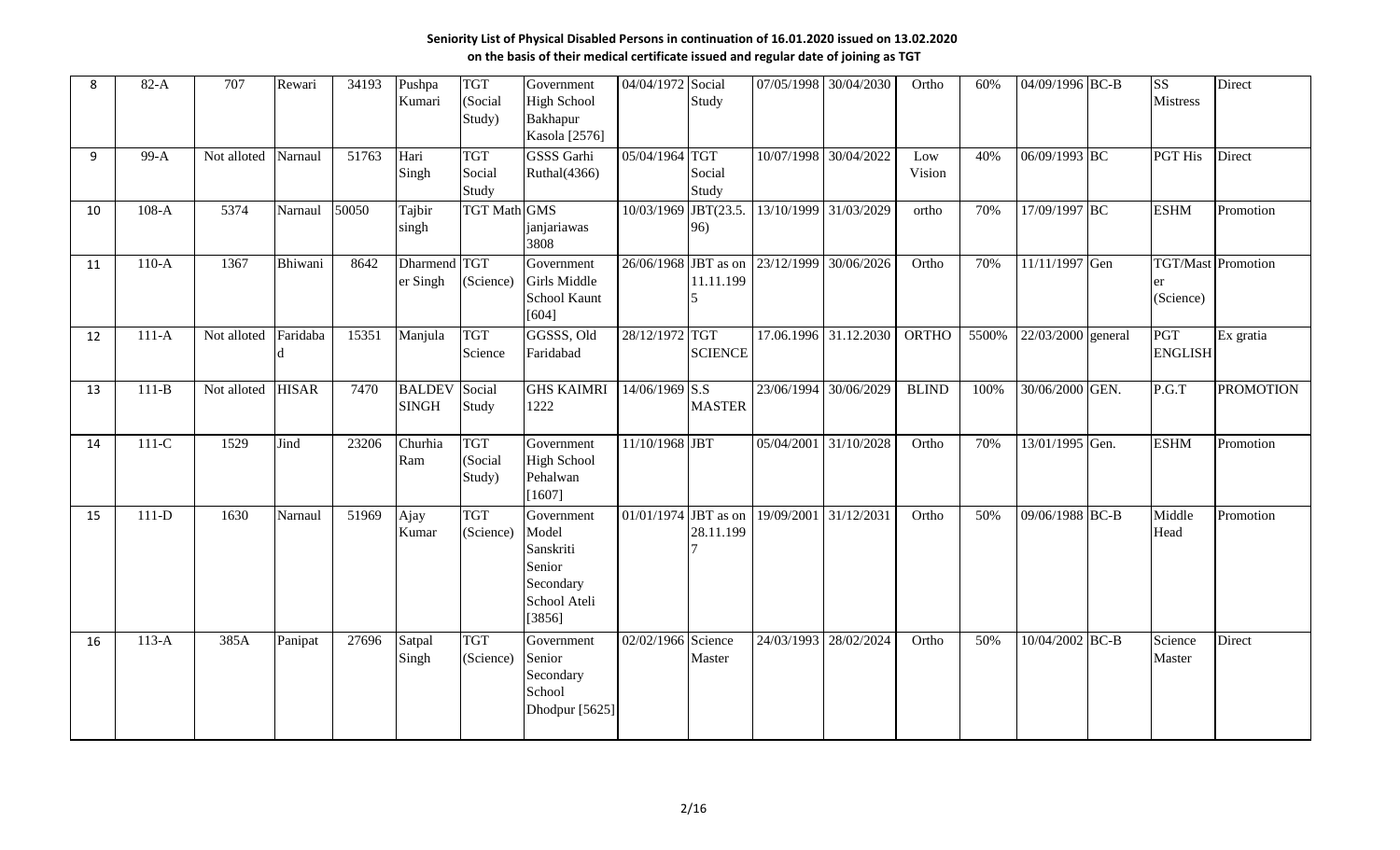| 8  | $82-A$    | 707         | Rewari       | 34193 | Pushpa<br>Kumari              | <b>TGT</b><br>(Social<br>Study) | Government<br><b>High School</b><br>Bakhapur<br>Kasola [2576]                     | 04/04/1972             | Social<br>Study                                 | 07/05/1998            | 30/04/2030 | Ortho         | 60%   | 04/09/1996 BC-B    | $\overline{\text{SS}}$<br><b>Mistress</b> | Direct           |
|----|-----------|-------------|--------------|-------|-------------------------------|---------------------------------|-----------------------------------------------------------------------------------|------------------------|-------------------------------------------------|-----------------------|------------|---------------|-------|--------------------|-------------------------------------------|------------------|
| q  | 99-A      | Not alloted | Narnaul      | 51763 | Hari<br>Singh                 | <b>TGT</b><br>Social<br>Study   | <b>GSSS</b> Garhi<br>Ruthal(4366)                                                 | 05/04/1964 TGT         | Social<br>Study                                 | 10/07/1998            | 30/04/2022 | Low<br>Vision | 40%   | 06/09/1993 BC      | <b>PGT</b> His                            | Direct           |
| 10 | $108-A$   | 5374        | Narnaul      | 50050 | Tajbir<br>singh               | <b>TGT Math GMS</b>             | janjariawas<br>3808                                                               | $\frac{10}{03/1969}$   | JBT(23.5.<br>96)                                | 13/10/1999 31/03/2029 |            | ortho         | 70%   | 17/09/1997 BC      | <b>ESHM</b>                               | Promotion        |
| 11 | $110-A$   | 1367        | Bhiwani      | 8642  | <b>Dharmend</b><br>er Singh   | <b>TGT</b><br>(Science)         | Government<br>Girls Middle<br>School Kaunt<br>[604]                               | 26/06/1968 JBT as on   | 11.11.199                                       | 23/12/1999            | 30/06/2026 | Ortho         | 70%   | 11/11/1997 Gen     | TGT/Mast Promotion<br>er<br>(Science)     |                  |
| 12 | $111-A$   | Not alloted | Faridaba     | 15351 | Manjula                       | <b>TGT</b><br>Science           | GGSSS, Old<br>Faridabad                                                           | 28/12/1972 TGT         | <b>SCIENCE</b>                                  | 17.06.1996 31.12.2030 |            | ORTHO         | 5500% | 22/03/2000 general | PGT<br><b>ENGLISH</b>                     | Ex gratia        |
| 13 | $111 - B$ | Not alloted | <b>HISAR</b> | 7470  | <b>BALDEV</b><br><b>SINGH</b> | Social<br>Study                 | <b>GHS KAIMRI</b><br>1222                                                         | 14/06/1969             | $\overline{\text{S}}.\text{S}$<br><b>MASTER</b> | 23/06/1994 30/06/2029 |            | <b>BLIND</b>  | 100%  | 30/06/2000 GEN.    | P.G.T                                     | <b>PROMOTION</b> |
| 14 | $111-C$   | 1529        | Jind         | 23206 | Churhia<br>Ram                | <b>TGT</b><br>(Social<br>Study) | Government<br><b>High School</b><br>Pehalwan<br>[1607]                            | 11/10/1968 JBT         |                                                 | 05/04/2001            | 31/10/2028 | Ortho         | 70%   | 13/01/1995 Gen.    | <b>ESHM</b>                               | Promotion        |
| 15 | $111-D$   | 1630        | Narnaul      | 51969 | Ajay<br>Kumar                 | <b>TGT</b><br>(Science)         | Government<br>Model<br>Sanskriti<br>Senior<br>Secondary<br>School Ateli<br>[3856] | $01/01/1974$ JBT as on | 28.11.199                                       | 19/09/2001            | 31/12/2031 | Ortho         | 50%   | 09/06/1988 BC-B    | Middle<br>Head                            | Promotion        |
| 16 | $113-A$   | 385A        | Panipat      | 27696 | Satpal<br>Singh               | <b>TGT</b><br>(Science)         | Government<br>Senior<br>Secondary<br>School<br>Dhodpur [5625]                     | 02/02/1966 Science     | Master                                          | 24/03/1993            | 28/02/2024 | Ortho         | 50%   | 10/04/2002 BC-B    | Science<br>Master                         | Direct           |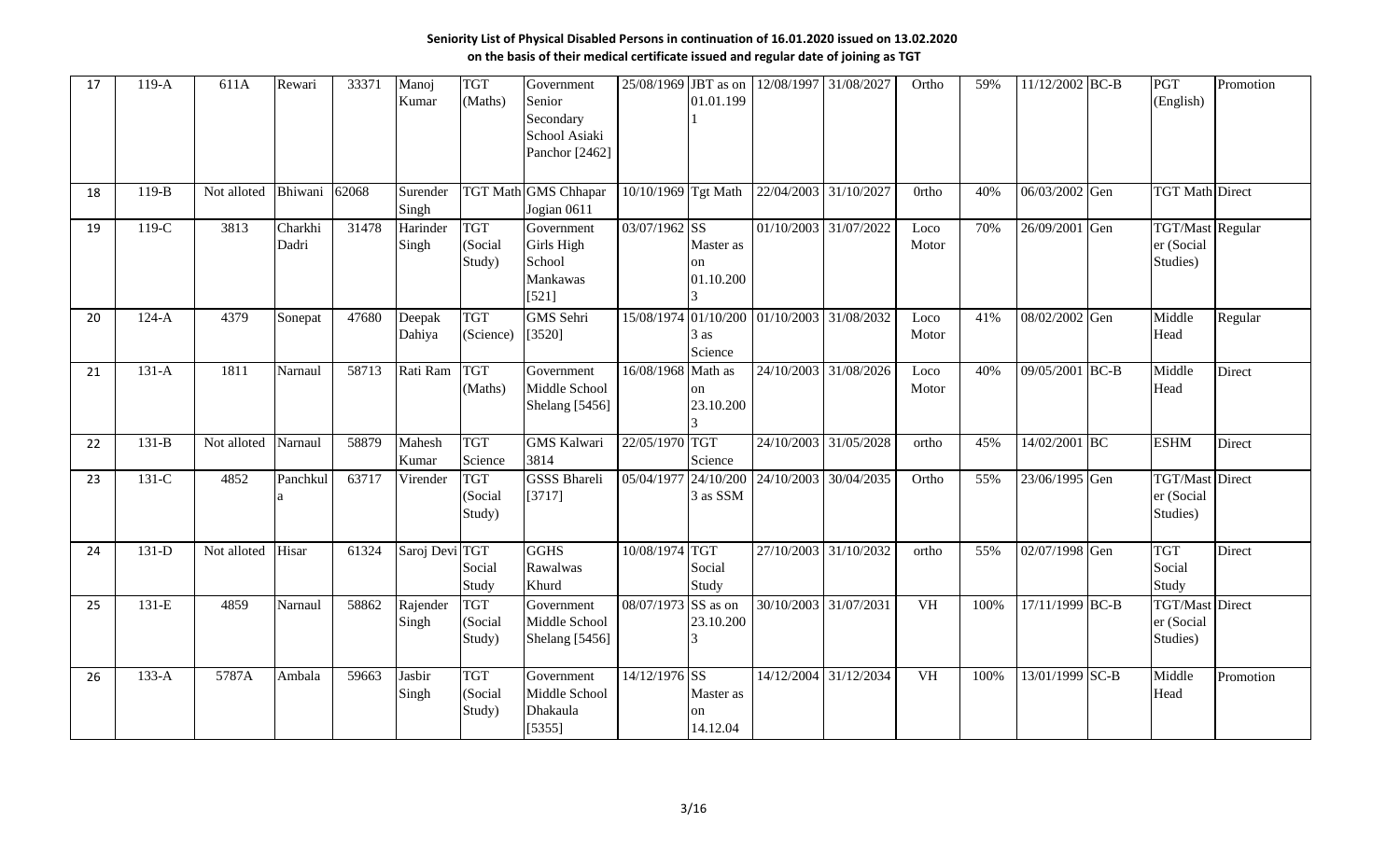| 17 | $119-A$ | 611A        | Rewari           | 33371 | Manoj<br>Kumar    | <b>TGT</b><br>(Maths)           | Government<br>Senior<br>Secondary<br>School Asiaki<br>Panchor [2462] | 25/08/1969          | JBT as on<br>01.01.199       | 12/08/1997                                 | 31/08/2027            | Ortho                  | 59%  | 11/12/2002 BC-B | PGT<br>(English)                                  | Promotion |
|----|---------|-------------|------------------|-------|-------------------|---------------------------------|----------------------------------------------------------------------|---------------------|------------------------------|--------------------------------------------|-----------------------|------------------------|------|-----------------|---------------------------------------------------|-----------|
| 18 | $119-B$ | Not alloted | Bhiwani          | 62068 | Surender<br>Singh |                                 | <b>TGT Math GMS Chhapar</b><br>Jogian 0611                           | 10/10/1969 Tgt Math |                              | 22/04/2003                                 | 31/10/2027            | <b>Ortho</b>           | 40%  | 06/03/2002 Gen  | <b>TGT Math Direct</b>                            |           |
| 19 | $119-C$ | 3813        | Charkhi<br>Dadri | 31478 | Harinder<br>Singh | <b>TGT</b><br>(Social<br>Study) | Government<br>Girls High<br>School<br><b>Mankawas</b><br>[521]       | 03/07/1962 SS       | Master as<br>on<br>01.10.200 |                                            | 01/10/2003 31/07/2022 | Loco<br>Motor          | 70%  | 26/09/2001 Gen  | <b>TGT/Mast Regular</b><br>er (Social<br>Studies) |           |
| 20 | $124-A$ | 4379        | Sonepat          | 47680 | Deepak<br>Dahiya  | <b>TGT</b><br>(Science)         | GMS Sehri<br>[3520]                                                  |                     | 3 as<br>Science              | 15/08/1974 01/10/200 01/10/2003 31/08/2032 |                       | Loco<br>Motor          | 41%  | 08/02/2002 Gen  | Middle<br>Head                                    | Regular   |
| 21 | $131-A$ | 1811        | Narnaul          | 58713 | Rati Ram          | <b>TGT</b><br>(Maths)           | Government<br>Middle School<br>Shelang [5456]                        | 16/08/1968          | Math as<br>on<br>23.10.200   |                                            | 24/10/2003 31/08/2026 | Loco<br>Motor          | 40%  | 09/05/2001 BC-B | Middle<br>Head                                    | Direct    |
| 22 | $131-B$ | Not alloted | Narnaul          | 58879 | Mahesh<br>Kumar   | <b>TGT</b><br>Science           | <b>GMS</b> Kalwari<br>3814                                           | 22/05/1970 TGT      | Science                      | $\overline{24}/10/2003$                    | 31/05/2028            | ortho                  | 45%  | 14/02/2001 BC   | <b>ESHM</b>                                       | Direct    |
| 23 | 131-C   | 4852        | Panchkul<br>l a  | 63717 | Virender          | <b>TGT</b><br>(Social<br>Study) | <b>GSSS Bhareli</b><br>[3717]                                        | 05/04/1977          | 24/10/200<br>3 as SSM        | 24/10/2003                                 | 30/04/2035            | Ortho                  | 55%  | 23/06/1995 Gen  | <b>TGT/Mast Direct</b><br>er (Social<br>Studies)  |           |
| 24 | $131-D$ | Not alloted | Hisar            | 61324 | Saroj Devi TGT    | Social<br>Study                 | <b>GGHS</b><br>Rawalwas<br>Khurd                                     | 10/08/1974 TGT      | Social<br>Study              |                                            | 27/10/2003 31/10/2032 | ortho                  | 55%  | 02/07/1998 Gen  | <b>TGT</b><br>Social<br>Study                     | Direct    |
| 25 | 131-E   | 4859        | Narnaul          | 58862 | Rajender<br>Singh | <b>TGT</b><br>(Social<br>Study) | Government<br>Middle School<br>Shelang [5456]                        | 08/07/1973          | SS as on<br>23.10.200        | 30/10/2003                                 | 31/07/2031            | <b>VH</b>              | 100% | 17/11/1999 BC-B | TGT/Mast Direct<br>er (Social<br>Studies)         |           |
| 26 | $133-A$ | 5787A       | Ambala           | 59663 | Jasbir<br>Singh   | <b>TGT</b><br>(Social<br>Study) | Government<br>Middle School<br>Dhakaula<br>[5355]                    | 14/12/1976 SS       | Master as<br>on<br>14.12.04  |                                            | 14/12/2004 31/12/2034 | $\overline{\text{VH}}$ | 100% | 13/01/1999 SC-B | Middle<br>Head                                    | Promotion |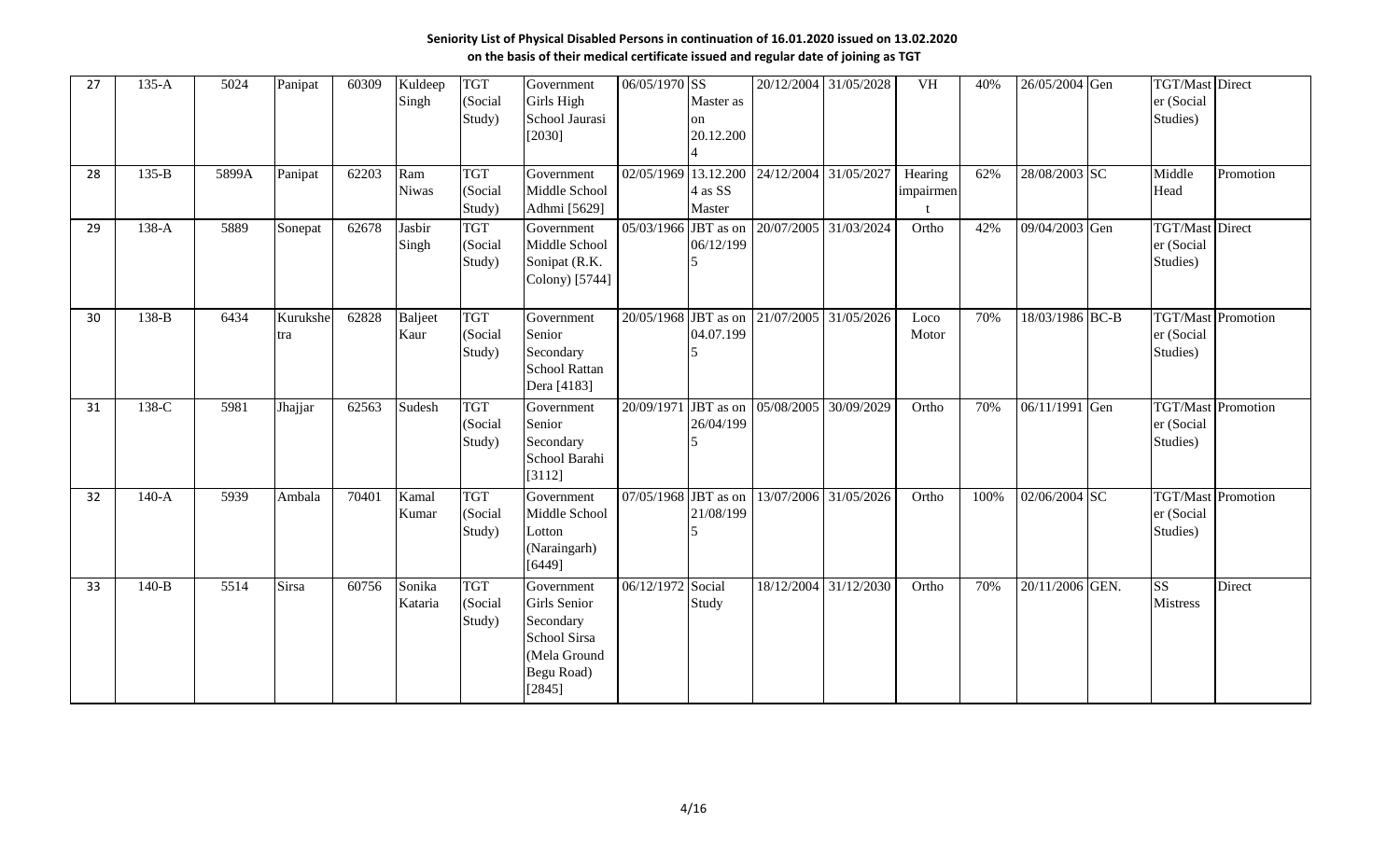| 27 | $135-A$ | 5024  | Panipat         | 60309 | Kuldeep<br>Singh       | <b>TGT</b><br>(Social<br>Study) | Government<br>Girls High<br>School Jaurasi<br>[2030]                                                     | 06/05/1970 SS          | Master as<br>on<br>20.12.200 |                                 | 20/12/2004 31/05/2028 | VH                   | 40%  | 26/05/2004 Gen  | <b>TGT/Mast</b> Direct<br>er (Social<br>Studies) |                           |
|----|---------|-------|-----------------|-------|------------------------|---------------------------------|----------------------------------------------------------------------------------------------------------|------------------------|------------------------------|---------------------------------|-----------------------|----------------------|------|-----------------|--------------------------------------------------|---------------------------|
| 28 | $135-B$ | 5899A | Panipat         | 62203 | Ram<br><b>Niwas</b>    | <b>TGT</b><br>(Social<br>Study) | Government<br>Middle School<br>Adhmi [5629]                                                              | 02/05/1969 13.12.200   | 4 as SS<br>Master            | 24/12/2004                      | 31/05/2027            | Hearing<br>impairmen | 62%  | 28/08/2003 SC   | Middle<br>Head                                   | Promotion                 |
| 29 | $138-A$ | 5889  | Sonepat         | 62678 | Jasbir<br>Singh        | <b>TGT</b><br>(Social<br>Study) | Government<br>Middle School<br>Sonipat (R.K.<br>Colony) [5744]                                           | 05/03/1966             | JBT as on<br>06/12/199       | 20/07/2005                      | 31/03/2024            | Ortho                | 42%  | 09/04/2003 Gen  | <b>TGT/Mast</b> Direct<br>er (Social<br>Studies) |                           |
| 30 | 138-B   | 6434  | Kurukshe<br>tra | 62828 | <b>Baljeet</b><br>Kaur | <b>TGT</b><br>(Social<br>Study) | Government<br>Senior<br>Secondary<br><b>School Rattan</b><br>Dera [4183]                                 | $20/05/1968$ JBT as on | 04.07.199                    | 21/07/2005                      | 31/05/2026            | Loco<br>Motor        | 70%  | 18/03/1986 BC-B | er (Social<br>Studies)                           | <b>TGT/Mast</b> Promotion |
| 31 | 138-C   | 5981  | Jhajjar         | 62563 | Sudesh                 | <b>TGT</b><br>(Social<br>Study) | Government<br>Senior<br>Secondary<br>School Barahi<br>[3112]                                             |                        | 26/04/199                    | 20/09/1971 JBT as on 05/08/2005 | 30/09/2029            | Ortho                | 70%  | 06/11/1991 Gen  | TGT/Mast Promotion<br>er (Social<br>Studies)     |                           |
| 32 | $140-A$ | 5939  | Ambala          | 70401 | Kamal<br>Kumar         | <b>TGT</b><br>(Social<br>Study) | Government<br>Middle School<br>Lotton<br>(Naraingarh)<br>[6449]                                          | 07/05/1968             | JBT as on<br>21/08/199       | 13/07/2006                      | 31/05/2026            | Ortho                | 100% | 02/06/2004 SC   | er (Social<br>Studies)                           | <b>TGT/Mast</b> Promotion |
| 33 | $140-B$ | 5514  | Sirsa           | 60756 | Sonika<br>Kataria      | <b>TGT</b><br>(Social<br>Study) | Government<br>Girls Senior<br>Secondary<br><b>School Sirsa</b><br>(Mela Ground<br>Begu Road)<br>$[2845]$ | 06/12/1972 Social      | Study                        |                                 | 18/12/2004 31/12/2030 | Ortho                | 70%  | 20/11/2006 GEN. | $\overline{\text{SS}}$<br><b>Mistress</b>        | Direct                    |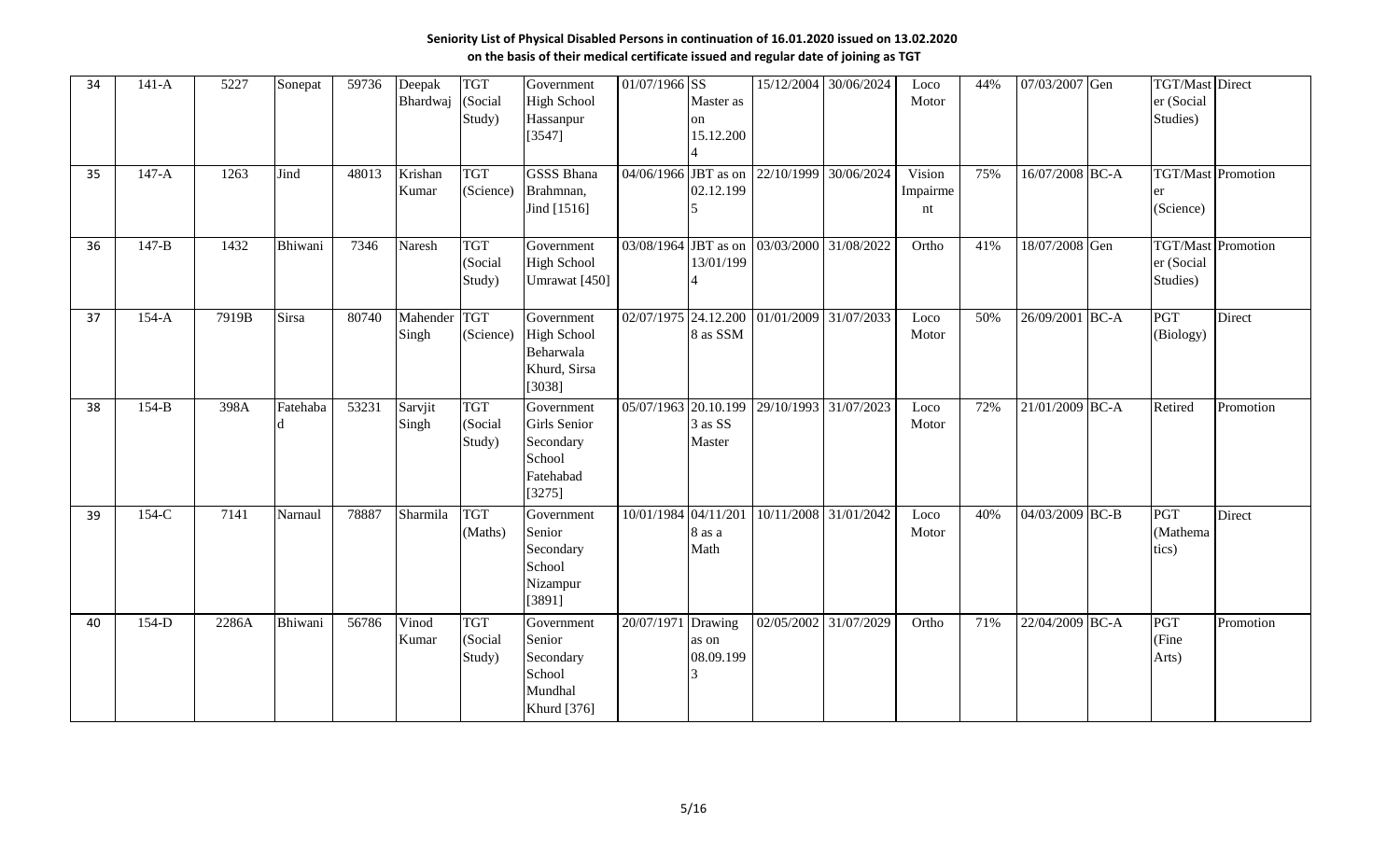| 34 | $141-A$   | 5227  | Sonepat      | 59736 | Deepak<br>Bhardwaj    | <b>TGT</b><br>(Social<br>Study) | Government<br><b>High School</b><br>Hassanpur<br>[3547]                  | 01/07/1966 SS        | Master as<br>on<br>15.12.200  | 15/12/2004                      | 30/06/2024                                 | Loco<br>Motor            | 44% | 07/03/2007 Gen  |        | <b>TGT/Mast Direct</b><br>er (Social<br>Studies)    |                           |
|----|-----------|-------|--------------|-------|-----------------------|---------------------------------|--------------------------------------------------------------------------|----------------------|-------------------------------|---------------------------------|--------------------------------------------|--------------------------|-----|-----------------|--------|-----------------------------------------------------|---------------------------|
| 35 | $147-A$   | 1263  | Jind         | 48013 | Krishan<br>Kumar      | <b>TGT</b><br>(Science)         | <b>GSSS Bhana</b><br>Brahmnan,<br>Jind [1516]                            | 04/06/1966 JBT as on | 02.12.199                     | 22/10/1999                      | 30/06/2024                                 | Vision<br>Impairme<br>nt | 75% | 16/07/2008 BC-A |        | er<br>(Science)                                     | <b>TGT/Mast</b> Promotion |
| 36 | $147 - B$ | 1432  | Bhiwani      | 7346  | Naresh                | <b>TGT</b><br>(Social<br>Study) | Government<br><b>High School</b><br>Umrawat [450]                        |                      | 13/01/199                     |                                 | 03/08/1964 JBT as on 03/03/2000 31/08/2022 | Ortho                    | 41% | 18/07/2008 Gen  |        | <b>TGT/Mast Promotion</b><br>er (Social<br>Studies) |                           |
| 37 | $154-A$   | 7919B | <b>Sirsa</b> | 80740 | Mahender TGT<br>Singh | (Science)                       | Government<br><b>High School</b><br>Beharwala<br>Khurd, Sirsa<br>[3038]  |                      | 8 as SSM                      | 02/07/1975 24.12.200 01/01/2009 | 31/07/2033                                 | Loco<br>Motor            | 50% | 26/09/2001      | $BC-A$ | PGT<br>(Biology)                                    | Direct                    |
| 38 | $154-B$   | 398A  | Fatehaba     | 53231 | Sarvjit<br>Singh      | <b>TGT</b><br>(Social<br>Study) | Government<br>Girls Senior<br>Secondary<br>School<br>Fatehabad<br>[3275] | 05/07/1963 20.10.199 | 3 as SS<br>Master             | 29/10/1993                      | 31/07/2023                                 | Loco<br>Motor            | 72% | 21/01/2009 BC-A |        | Retired                                             | Promotion                 |
| 39 | $154-C$   | 7141  | Narnaul      | 78887 | Sharmila              | <b>TGT</b><br>(Maths)           | Government<br>Senior<br>Secondary<br>School<br>Nizampur<br>[3891]        | 10/01/1984 04/11/201 | 8 as a<br>Math                |                                 | 10/11/2008 31/01/2042                      | Loco<br>Motor            | 40% | 04/03/2009 BC-B |        | PGT<br>(Mathema<br>tics)                            | Direct                    |
| 40 | 154-D     | 2286A | Bhiwani      | 56786 | Vinod<br>Kumar        | <b>TGT</b><br>(Social<br>Study) | Government<br>Senior<br>Secondary<br>School<br>Mundhal<br>Khurd [376]    | 20/07/1971           | Drawing<br>as on<br>08.09.199 | 02/05/2002                      | 31/07/2029                                 | Ortho                    | 71% | 22/04/2009 BC-A |        | <b>PGT</b><br>(Fine<br>Arts)                        | Promotion                 |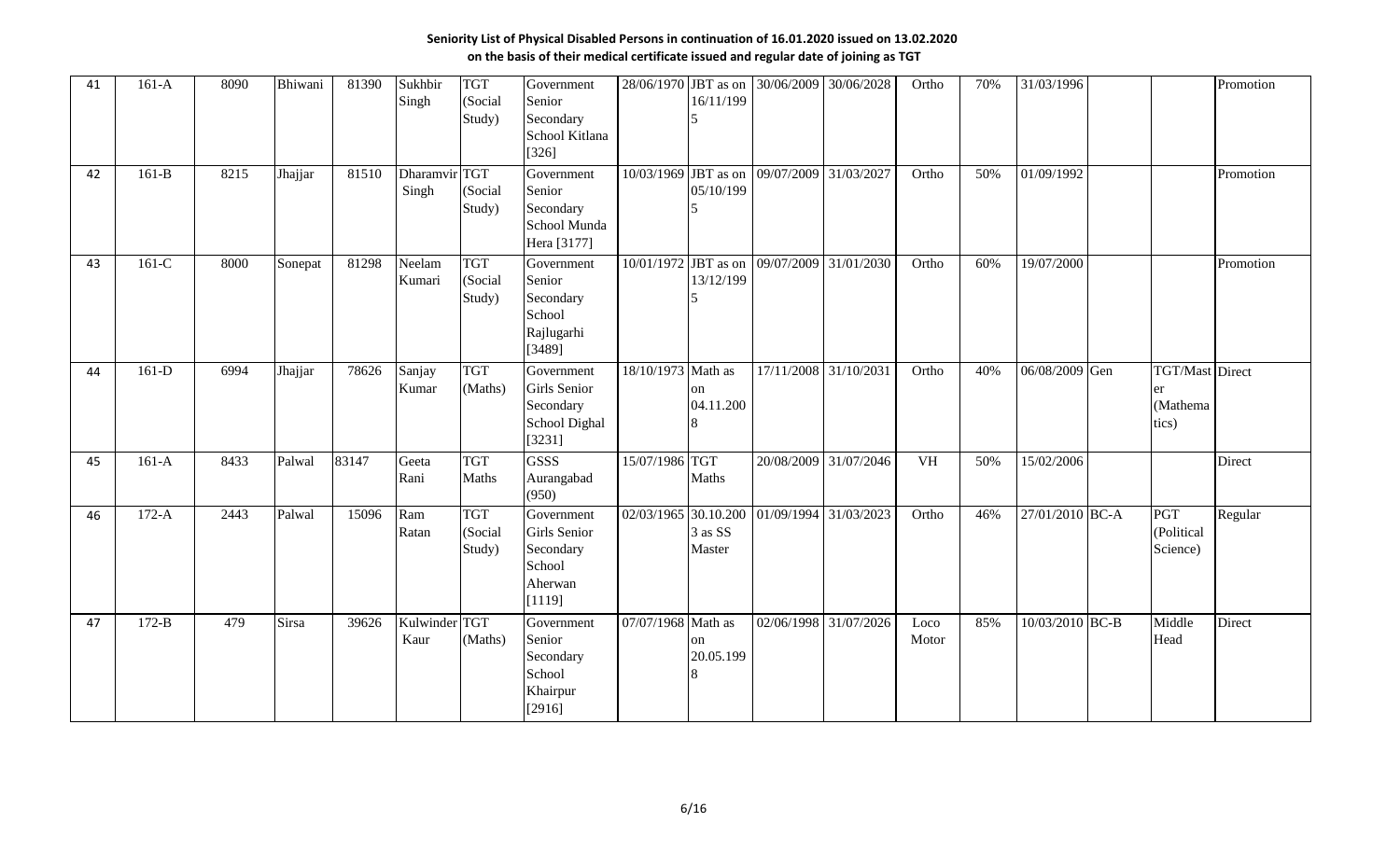| 41 | $161-A$ | 8090 | Bhiwani      | 81390 | Sukhbir<br>Singh       | <b>TGT</b><br>(Social<br>Study) | Government<br>Senior<br>Secondary<br>School Kitlana<br>[326]           | 28/06/1970             | JBT as on<br>16/11/199     | 30/06/2009 | 30/06/2028                                 | Ortho         | 70% | 31/03/1996      |                                                   | Promotion |
|----|---------|------|--------------|-------|------------------------|---------------------------------|------------------------------------------------------------------------|------------------------|----------------------------|------------|--------------------------------------------|---------------|-----|-----------------|---------------------------------------------------|-----------|
| 42 | $161-B$ | 8215 | Jhajjar      | 81510 | Dharamvir TGT<br>Singh | (Social<br>Study)               | Government<br>Senior<br>Secondary<br>School Munda<br>Hera [3177]       |                        | 05/10/199                  |            | 10/03/1969 JBT as on 09/07/2009 31/03/2027 | Ortho         | 50% | 01/09/1992      |                                                   | Promotion |
| 43 | $161-C$ | 8000 | Sonepat      | 81298 | Neelam<br>Kumari       | <b>TGT</b><br>(Social<br>Study) | Government<br>Senior<br>Secondary<br>School<br>Rajlugarhi<br>[3489]    | $10/01/1972$ JBT as on | 13/12/199                  | 09/07/2009 | 31/01/2030                                 | Ortho         | 60% | 19/07/2000      |                                                   | Promotion |
| 44 | $161-D$ | 6994 | Jhajjar      | 78626 | Sanjay<br>Kumar        | <b>TGT</b><br>(Maths)           | Government<br>Girls Senior<br>Secondary<br>School Dighal<br>[3231]     | 18/10/1973             | Math as<br>on<br>04.11.200 | 17/11/2008 | 31/10/2031                                 | Ortho         | 40% | 06/08/2009 Gen  | <b>TGT/Mast Direct</b><br>er<br>(Mathema<br>tics) |           |
| 45 | $161-A$ | 8433 | Palwal       | 83147 | Geeta<br>Rani          | <b>TGT</b><br>Maths             | <b>GSSS</b><br>Aurangabad<br>(950)                                     | 15/07/1986 TGT         | Maths                      |            | 20/08/2009 31/07/2046                      | <b>VH</b>     | 50% | 15/02/2006      |                                                   | Direct    |
| 46 | $172-A$ | 2443 | Palwal       | 15096 | Ram<br>Ratan           | <b>TGT</b><br>(Social<br>Study) | Government<br>Girls Senior<br>Secondary<br>School<br>Aherwan<br>[1119] | 02/03/1965 30.10.200   | 3 as SS<br>Master          |            | 01/09/1994 31/03/2023                      | Ortho         | 46% | 27/01/2010 BC-A | PGT<br>(Political<br>Science)                     | Regular   |
| 47 | $172-B$ | 479  | <b>Sirsa</b> | 39626 | Kulwinder TGT<br>Kaur  | (Maths)                         | Government<br>Senior<br>Secondary<br>School<br>Khairpur<br>[2916]      | 07/07/1968             | Math as<br>on<br>20.05.199 |            | 02/06/1998 31/07/2026                      | Loco<br>Motor | 85% | 10/03/2010 BC-B | Middle<br>Head                                    | Direct    |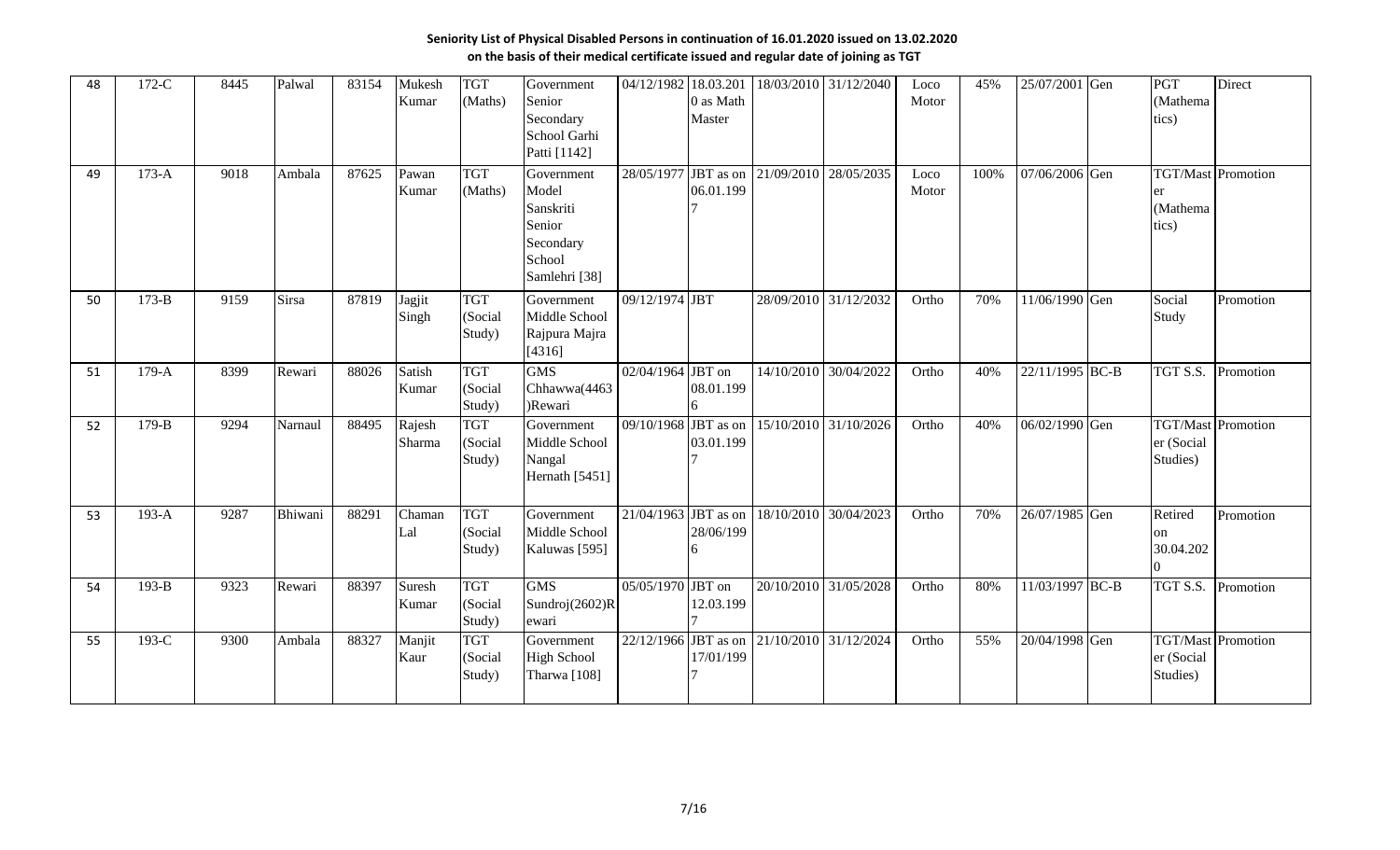| 48 | $172-C$ | 8445 | Palwal  | 83154 | Mukesh<br>Kumar  | <b>TGT</b><br>(Maths)           | Government<br>Senior<br>Secondary<br>School Garhi<br>Patti [1142]                  | 04/12/1982             | 18.03.201<br>0 as Math<br>Master |            | 18/03/2010 31/12/2040 | Loco<br>Motor | 45%  | 25/07/2001 Gen  | <b>PGT</b><br>(Mathema)<br>tics)                      | Direct    |
|----|---------|------|---------|-------|------------------|---------------------------------|------------------------------------------------------------------------------------|------------------------|----------------------------------|------------|-----------------------|---------------|------|-----------------|-------------------------------------------------------|-----------|
| 49 | $173-A$ | 9018 | Ambala  | 87625 | Pawan<br>Kumar   | <b>TGT</b><br>(Maths)           | Government<br>Model<br>Sanskriti<br>Senior<br>Secondary<br>School<br>Samlehri [38] | 28/05/1977 JBT as on   | 06.01.199                        | 21/09/2010 | 28/05/2035            | Loco<br>Motor | 100% | 07/06/2006 Gen  | <b>TGT/Mast Promotion</b><br>er<br>(Mathema)<br>tics) |           |
| 50 | $173-B$ | 9159 | Sirsa   | 87819 | Jagjit<br>Singh  | <b>TGT</b><br>(Social<br>Study) | Government<br>Middle School<br>Rajpura Majra<br>[4316]                             | 09/12/1974 JBT         |                                  |            | 28/09/2010 31/12/2032 | Ortho         | 70%  | 11/06/1990 Gen  | Social<br>Study                                       | Promotion |
| 51 | $179-A$ | 8399 | Rewari  | 88026 | Satish<br>Kumar  | <b>TGT</b><br>(Social<br>Study) | <b>GMS</b><br>Chhawwa(4463<br>)Rewari                                              | 02/04/1964 JBT on      | 08.01.199                        |            | 14/10/2010 30/04/2022 | Ortho         | 40%  | 22/11/1995 BC-B | TGT S.S. Promotion                                    |           |
| 52 | $179-B$ | 9294 | Narnaul | 88495 | Rajesh<br>Sharma | <b>TGT</b><br>(Social<br>Study) | Government<br>Middle School<br>Nangal<br>Hernath [5451]                            | 09/10/1968 JBT as on   | 03.01.199                        |            | 15/10/2010 31/10/2026 | Ortho         | 40%  | 06/02/1990 Gen  | <b>TGT/Mast Promotion</b><br>er (Social<br>Studies)   |           |
| 53 | $193-A$ | 9287 | Bhiwani | 88291 | Chaman<br>Lal    | <b>TGT</b><br>(Social<br>Study) | Government<br>Middle School<br>Kaluwas [595]                                       | 21/04/1963             | JBT as on<br>28/06/199           | 18/10/2010 | 30/04/2023            | Ortho         | 70%  | 26/07/1985 Gen  | Retired<br>on<br>30.04.202<br>n.                      | Promotion |
| 54 | $193-B$ | 9323 | Rewari  | 88397 | Suresh<br>Kumar  | <b>TGT</b><br>(Social<br>Study) | <b>GMS</b><br>Sundroj(2602)R<br>ewari                                              | 05/05/1970 JBT on      | 12.03.199                        |            | 20/10/2010 31/05/2028 | Ortho         | 80%  | 11/03/1997 BC-B | TGT S.S. Promotion                                    |           |
| 55 | 193-C   | 9300 | Ambala  | 88327 | Manjit<br>Kaur   | <b>TGT</b><br>(Social<br>Study) | Government<br><b>High School</b><br>Tharwa <sup>[108]</sup>                        | $22/12/1966$ JBT as on | 17/01/199                        |            | 21/10/2010 31/12/2024 | Ortho         | 55%  | 20/04/1998 Gen  | <b>TGT/Mast</b> Promotion<br>er (Social<br>Studies)   |           |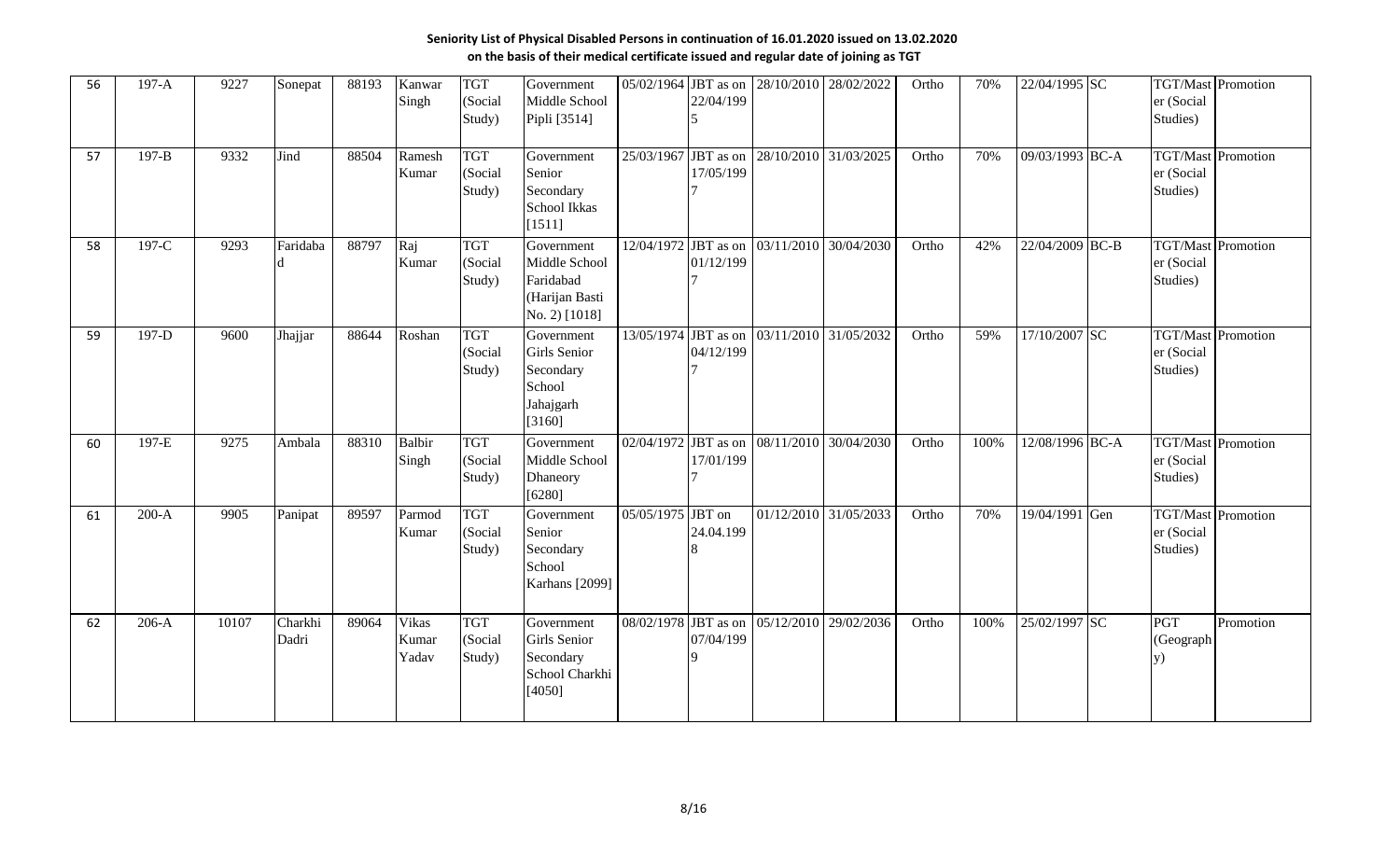| 56 | $197-A$   | 9227  | Sonepat          | 88193 | Kanwar<br>Singh                | <b>TGT</b><br>(Social<br>Study) | Government<br>Middle School<br>Pipli [3514]                                 |                        | 22/04/199 | 05/02/1964 JBT as on 28/10/2010 | 28/02/2022                                 | Ortho | 70%  | 22/04/1995 SC   | er (Social<br>Studies)                              | <b>TGT/Mast</b> Promotion |
|----|-----------|-------|------------------|-------|--------------------------------|---------------------------------|-----------------------------------------------------------------------------|------------------------|-----------|---------------------------------|--------------------------------------------|-------|------|-----------------|-----------------------------------------------------|---------------------------|
| 57 | $197 - B$ | 9332  | Jind             | 88504 | Ramesh<br>Kumar                | <b>TGT</b><br>(Social<br>Study) | Government<br>Senior<br>Secondary<br><b>School Ikkas</b><br>[1511]          | $25/03/1967$ JBT as on | 17/05/199 |                                 | 28/10/2010 31/03/2025                      | Ortho | 70%  | 09/03/1993 BC-A | <b>TGT/Mast</b> Promotion<br>er (Social<br>Studies) |                           |
| 58 | 197-C     | 9293  | Faridaba         | 88797 | Raj<br>Kumar                   | <b>TGT</b><br>(Social<br>Study) | Government<br>Middle School<br>Faridabad<br>(Harijan Basti<br>No. 2) [1018] |                        | 01/12/199 |                                 | 12/04/1972 JBT as on 03/11/2010 30/04/2030 | Ortho | 42%  | 22/04/2009 BC-B | <b>TGT/Mast</b> Promotion<br>er (Social<br>Studies) |                           |
| 59 | 197-D     | 9600  | Jhajjar          | 88644 | Roshan                         | <b>TGT</b><br>(Social<br>Study) | Government<br>Girls Senior<br>Secondary<br>School<br>Jahajgarh<br>[3160]    |                        | 04/12/199 | 13/05/1974 JBT as on 03/11/2010 | 31/05/2032                                 | Ortho | 59%  | 17/10/2007 SC   | er (Social<br>Studies)                              | <b>TGT/Mast</b> Promotion |
| 60 | 197-E     | 9275  | Ambala           | 88310 | <b>Balbir</b><br>Singh         | <b>TGT</b><br>(Social<br>Study) | Government<br>Middle School<br>Dhaneory<br>[6280]                           |                        | 17/01/199 | 02/04/1972 JBT as on 08/11/2010 | 30/04/2030                                 | Ortho | 100% | 12/08/1996 BC-A | er (Social<br>Studies)                              | <b>TGT/Mast</b> Promotion |
| 61 | $200-A$   | 9905  | Panipat          | 89597 | Parmod<br>Kumar                | <b>TGT</b><br>(Social<br>Study) | Government<br>Senior<br>Secondary<br>School<br>Karhans [2099]               | 05/05/1975 JBT on      | 24.04.199 |                                 | 01/12/2010 31/05/2033                      | Ortho | 70%  | 19/04/1991 Gen  | <b>TGT/Mast Promotion</b><br>er (Social<br>Studies) |                           |
| 62 | $206-A$   | 10107 | Charkhi<br>Dadri | 89064 | <b>Vikas</b><br>Kumar<br>Yadav | <b>TGT</b><br>(Social<br>Study) | Government<br>Girls Senior<br>Secondary<br>School Charkhi<br>[4050]         | 08/02/1978 JBT as on   | 07/04/199 | 05/12/2010                      | 29/02/2036                                 | Ortho | 100% | 25/02/1997 SC   | <b>PGT</b><br>(Geograph<br>y)                       | Promotion                 |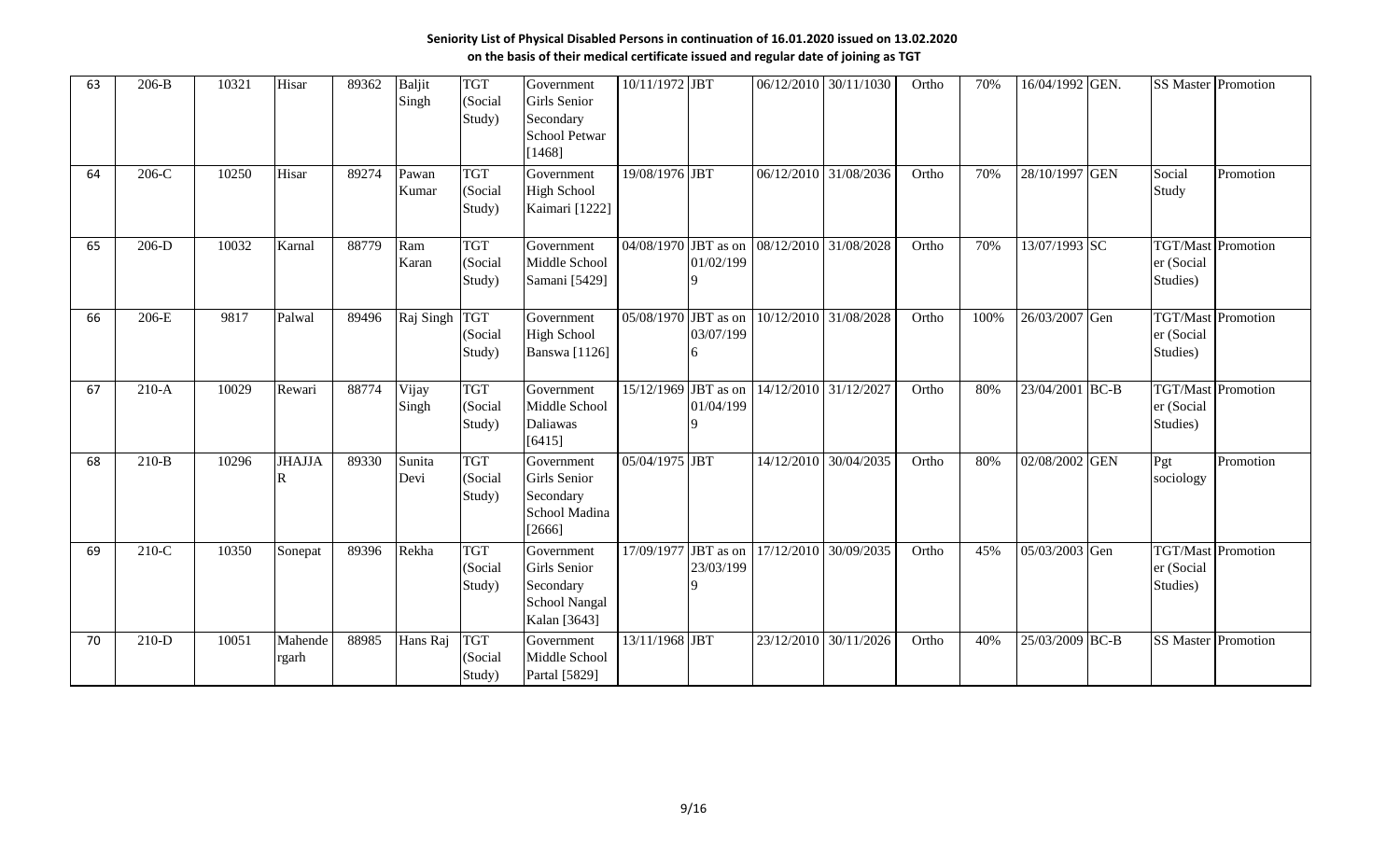| 63 | $206-B$ | 10321 | Hisar                                  | 89362 | Baljit<br>Singh | <b>TGT</b><br>(Social<br>Study) | Government<br><b>Girls</b> Senior<br>Secondary<br><b>School Petwar</b><br>[1468] | 10/11/1972 JBT         |                                            | 06/12/2010                                 | 30/11/1030 | Ortho | 70%  | 16/04/1992 GEN. | <b>SS Master Promotion</b>                          |           |
|----|---------|-------|----------------------------------------|-------|-----------------|---------------------------------|----------------------------------------------------------------------------------|------------------------|--------------------------------------------|--------------------------------------------|------------|-------|------|-----------------|-----------------------------------------------------|-----------|
| 64 | $206-C$ | 10250 | Hisar                                  | 89274 | Pawan<br>Kumar  | <b>TGT</b><br>(Social<br>Study) | Government<br><b>High School</b><br>Kaimari [1222]                               | 19/08/1976 JBT         |                                            | 06/12/2010                                 | 31/08/2036 | Ortho | 70%  | 28/10/1997 GEN  | Social<br>Study                                     | Promotion |
| 65 | $206-D$ | 10032 | Karnal                                 | 88779 | Ram<br>Karan    | <b>TGT</b><br>(Social<br>Study) | Government<br>Middle School<br>Samani [5429]                                     |                        | 01/02/199                                  | 04/08/1970 JBT as on 08/12/2010            | 31/08/2028 | Ortho | 70%  | 13/07/1993 SC   | <b>TGT/Mast Promotion</b><br>er (Social<br>Studies) |           |
| 66 | $206-E$ | 9817  | Palwal                                 | 89496 | Raj Singh TGT   | (Social<br>Study)               | Government<br><b>High School</b><br><b>Banswa</b> [1126]                         |                        | 03/07/199                                  | 05/08/1970 JBT as on 10/12/2010 31/08/2028 |            | Ortho | 100% | 26/03/2007 Gen  | <b>TGT/Mast Promotion</b><br>er (Social<br>Studies) |           |
| 67 | $210-A$ | 10029 | Rewari                                 | 88774 | Vijay<br>Singh  | <b>TGT</b><br>(Social<br>Study) | Government<br>Middle School<br>Daliawas<br>[6415]                                | $15/12/1969$ JBT as on | 01/04/199                                  | 14/12/2010                                 | 31/12/2027 | Ortho | 80%  | 23/04/2001 BC-B | <b>TGT/Mast</b> Promotion<br>er (Social<br>Studies) |           |
| 68 | $210-B$ | 10296 | <b>JHAJJA</b><br>$\overline{\text{R}}$ | 89330 | Sunita<br>Devi  | <b>TGT</b><br>(Social<br>Study) | Government<br>Girls Senior<br>Secondary<br>School Madina<br>[2666]               | 05/04/1975 JBT         |                                            | 14/12/2010                                 | 30/04/2035 | Ortho | 80%  | 02/08/2002 GEN  | Pgt<br>sociology                                    | Promotion |
| 69 | $210-C$ | 10350 | Sonepat                                | 89396 | Rekha           | <b>TGT</b><br>(Social<br>Study) | Government<br>Girls Senior<br>Secondary<br>School Nangal<br>Kalan [3643]         | 17/09/1977             | $\overline{\text{JBT}}$ as on<br>23/03/199 | 17/12/2010                                 | 30/09/2035 | Ortho | 45%  | 05/03/2003 Gen  | <b>TGT/Mast</b> Promotion<br>er (Social<br>Studies) |           |
| 70 | $210-D$ | 10051 | Mahende<br>rgarh                       | 88985 | Hans Raj        | <b>TGT</b><br>(Social<br>Study) | Government<br>Middle School<br>Partal [5829]                                     | 13/11/1968 JBT         |                                            | 23/12/2010                                 | 30/11/2026 | Ortho | 40%  | 25/03/2009 BC-B | <b>SS Master Promotion</b>                          |           |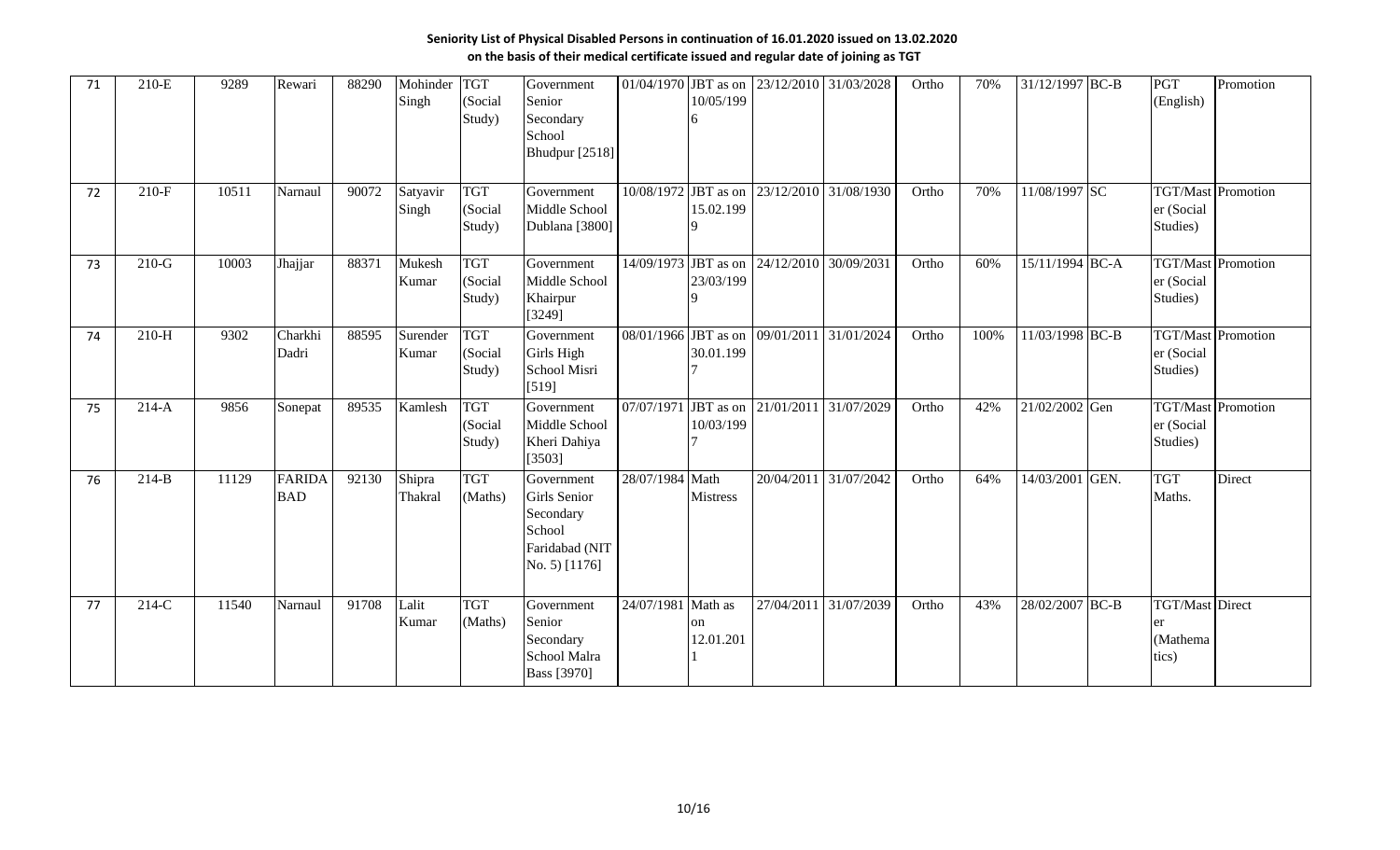| 71 | 210-E   | 9289  | Rewari                      | 88290 | Mohinder<br>Singh | <b>TGT</b><br>(Social<br>Study) | Government<br>Senior<br>Secondary<br>School<br><b>Bhudpur</b> [2518]                 | 01/04/1970           | JBT as on<br>10/05/199 |                                            | 23/12/2010 31/03/2028 | Ortho | 70%  | 31/12/1997 BC-B   |      | PGT<br>(English)                                    | Promotion                 |
|----|---------|-------|-----------------------------|-------|-------------------|---------------------------------|--------------------------------------------------------------------------------------|----------------------|------------------------|--------------------------------------------|-----------------------|-------|------|-------------------|------|-----------------------------------------------------|---------------------------|
| 72 | $210-F$ | 10511 | Narnaul                     | 90072 | Satyavir<br>Singh | <b>TGT</b><br>(Social<br>Study) | Government<br>Middle School<br>Dublana [3800]                                        | 10/08/1972 JBT as on | 15.02.199              | 23/12/2010 31/08/1930                      |                       | Ortho | 70%  | 11/08/1997 SC     |      | er (Social<br>Studies)                              | <b>TGT/Mast</b> Promotion |
| 73 | $210-G$ | 10003 | Jhajjar                     | 88371 | Mukesh<br>Kumar   | <b>TGT</b><br>(Social<br>Study) | Government<br>Middle School<br>Khairpur<br>[3249]                                    | 14/09/1973           | JBT as on<br>23/03/199 | 24/12/2010                                 | 30/09/2031            | Ortho | 60%  | $15/11/1994$ BC-A |      | <b>TGT/Mast</b> Promotion<br>er (Social<br>Studies) |                           |
| 74 | $210-H$ | 9302  | Charkhi<br>Dadri            | 88595 | Surender<br>Kumar | <b>TGT</b><br>(Social<br>Study) | Government<br>Girls High<br>School Misri<br>[519]                                    | 08/01/1966           | JBT as on<br>30.01.199 | 09/01/2011                                 | 31/01/2024            | Ortho | 100% | 11/03/1998 BC-B   |      | er (Social<br>Studies)                              | <b>TGT/Mast</b> Promotion |
| 75 | $214-A$ | 9856  | Sonepat                     | 89535 | Kamlesh           | <b>TGT</b><br>(Social<br>Study) | Government<br>Middle School<br>Kheri Dahiya<br>[3503]                                |                      | 10/03/199              | 07/07/1971 JBT as on 21/01/2011 31/07/2029 |                       | Ortho | 42%  | 21/02/2002 Gen    |      | er (Social<br>Studies)                              | <b>TGT/Mast</b> Promotion |
| 76 | $214-B$ | 11129 | <b>FARIDA</b><br><b>BAD</b> | 92130 | Shipra<br>Thakral | <b>TGT</b><br>(Maths)           | Government<br>Girls Senior<br>Secondary<br>School<br>Faridabad (NIT<br>No. 5) [1176] | 28/07/1984 Math      | <b>Mistress</b>        | 20/04/2011                                 | 31/07/2042            | Ortho | 64%  | 14/03/2001        | GEN. | <b>TGT</b><br>Maths.                                | Direct                    |
| 77 | $214-C$ | 11540 | Narnaul                     | 91708 | Lalit<br>Kumar    | <b>TGT</b><br>(Maths)           | Government<br>Senior<br>Secondary<br>School Malra<br>Bass [3970]                     | 24/07/1981 Math as   | on<br>12.01.201        |                                            | 27/04/2011 31/07/2039 | Ortho | 43%  | 28/02/2007 BC-B   |      | <b>TGT/Mast</b> Direct<br>er<br>(Mathema<br>tics)   |                           |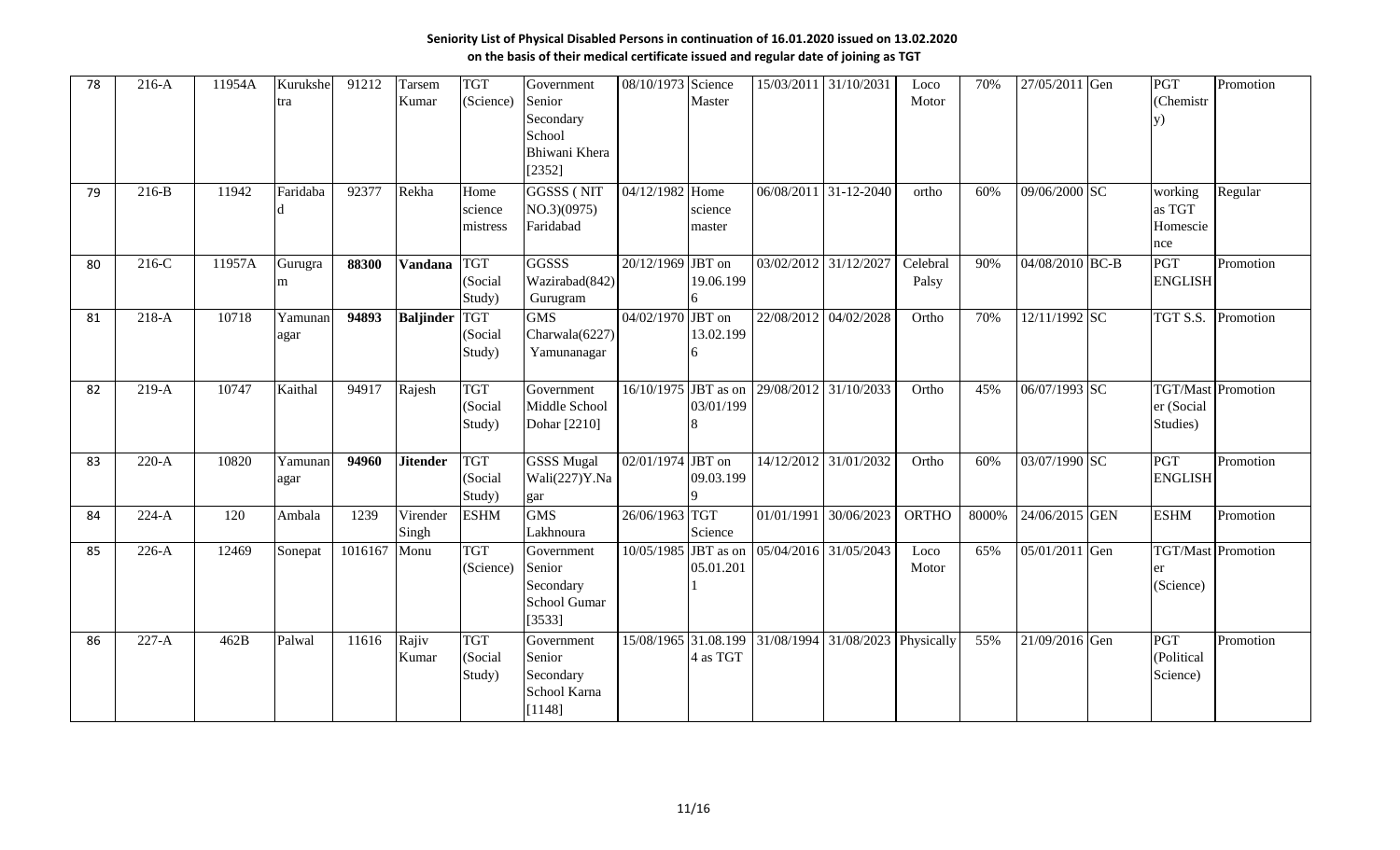| 78 | $216-A$ | 11954A | Kurukshe<br>tra | 91212   | Tarsem<br>Kumar   | <b>TGT</b><br>(Science)         | Government<br>Senior<br>Secondary<br>School<br>Bhiwani Khera<br>[2352] | 08/10/1973        | Science<br>Master | 15/03/2011 31/10/2031                      |                                                       | Loco<br>Motor     | 70%   | 27/05/2011 Gen  | PGT<br>(Chemistr<br>V)                              | Promotion |
|----|---------|--------|-----------------|---------|-------------------|---------------------------------|------------------------------------------------------------------------|-------------------|-------------------|--------------------------------------------|-------------------------------------------------------|-------------------|-------|-----------------|-----------------------------------------------------|-----------|
| 79 | $216-B$ | 11942  | Faridaba        | 92377   | Rekha             | Home<br>science<br>mistress     | <b>GGSSS (NIT</b><br>NO.3)(0975)<br>Faridabad                          | 04/12/1982 Home   | science<br>master |                                            | 06/08/2011 31-12-2040                                 | ortho             | 60%   | 09/06/2000 SC   | working<br>as TGT<br>Homescie<br>nce                | Regular   |
| 80 | $216-C$ | 11957A | Gurugra<br>m    | 88300   | <b>Vandana</b>    | <b>TGT</b><br>(Social<br>Study) | <b>GGSSS</b><br>Wazirabad(842)<br>Gurugram                             | 20/12/1969 JBT on | 19.06.199         | 03/02/2012 31/12/2027                      |                                                       | Celebral<br>Palsy | 90%   | 04/08/2010 BC-B | PGT<br><b>ENGLISH</b>                               | Promotion |
| 81 | $218-A$ | 10718  | Yamunan<br>agar | 94893   | <b>Baljinder</b>  | <b>TGT</b><br>(Social<br>Study) | <b>GMS</b><br>Charwala(6227)<br>Yamunanagar                            | 04/02/1970 JBT on | 13.02.199         | 22/08/2012                                 | 04/02/2028                                            | Ortho             | 70%   | 12/11/1992 SC   | TGT S.S.                                            | Promotion |
| 82 | $219-A$ | 10747  | Kaithal         | 94917   | Rajesh            | <b>TGT</b><br>(Social<br>Study) | Government<br>Middle School<br>Dohar [2210]                            | 16/10/1975        | 03/01/199         | JBT as on 29/08/2012                       | 31/10/2033                                            | Ortho             | 45%   | 06/07/1993 SC   | <b>TGT/Mast</b> Promotion<br>er (Social<br>Studies) |           |
| 83 | $220-A$ | 10820  | Yamunan<br>agar | 94960   | <b>Jitender</b>   | <b>TGT</b><br>(Social<br>Study) | <b>GSSS Mugal</b><br>Wali(227)Y.Na<br>gar                              | 02/01/1974 JBT on | 09.03.199         | 14/12/2012 31/01/2032                      |                                                       | Ortho             | 60%   | 03/07/1990 SC   | PGT<br><b>ENGLISH</b>                               | Promotion |
| 84 | $224-A$ | 120    | Ambala          | 1239    | Virender<br>Singh | <b>ESHM</b>                     | <b>GMS</b><br>Lakhnoura                                                | 26/06/1963 TGT    | Science           | 01/01/1991 30/06/2023                      |                                                       | <b>ORTHO</b>      | 8000% | 24/06/2015 GEN  | <b>ESHM</b>                                         | Promotion |
| 85 | $226-A$ | 12469  | Sonepat         | 1016167 | Monu              | <b>TGT</b><br>(Science)         | Government<br>Senior<br>Secondary<br>School Gumar<br>[3533]            |                   | 05.01.201         | 10/05/1985 JBT as on 05/04/2016 31/05/2043 |                                                       | Loco<br>Motor     | 65%   | 05/01/2011 Gen  | <b>TGT/Mast</b> Promotion<br>er<br>(Science)        |           |
| 86 | $227-A$ | 462B   | Palwal          | 11616   | Rajiv<br>Kumar    | <b>TGT</b><br>(Social<br>Study) | Government<br>Senior<br>Secondary<br>School Karna<br>[1148]            |                   | 4 as TGT          |                                            | 15/08/1965 31.08.199 31/08/1994 31/08/2023 Physically |                   | 55%   | 21/09/2016 Gen  | PGT<br>(Political<br>Science)                       | Promotion |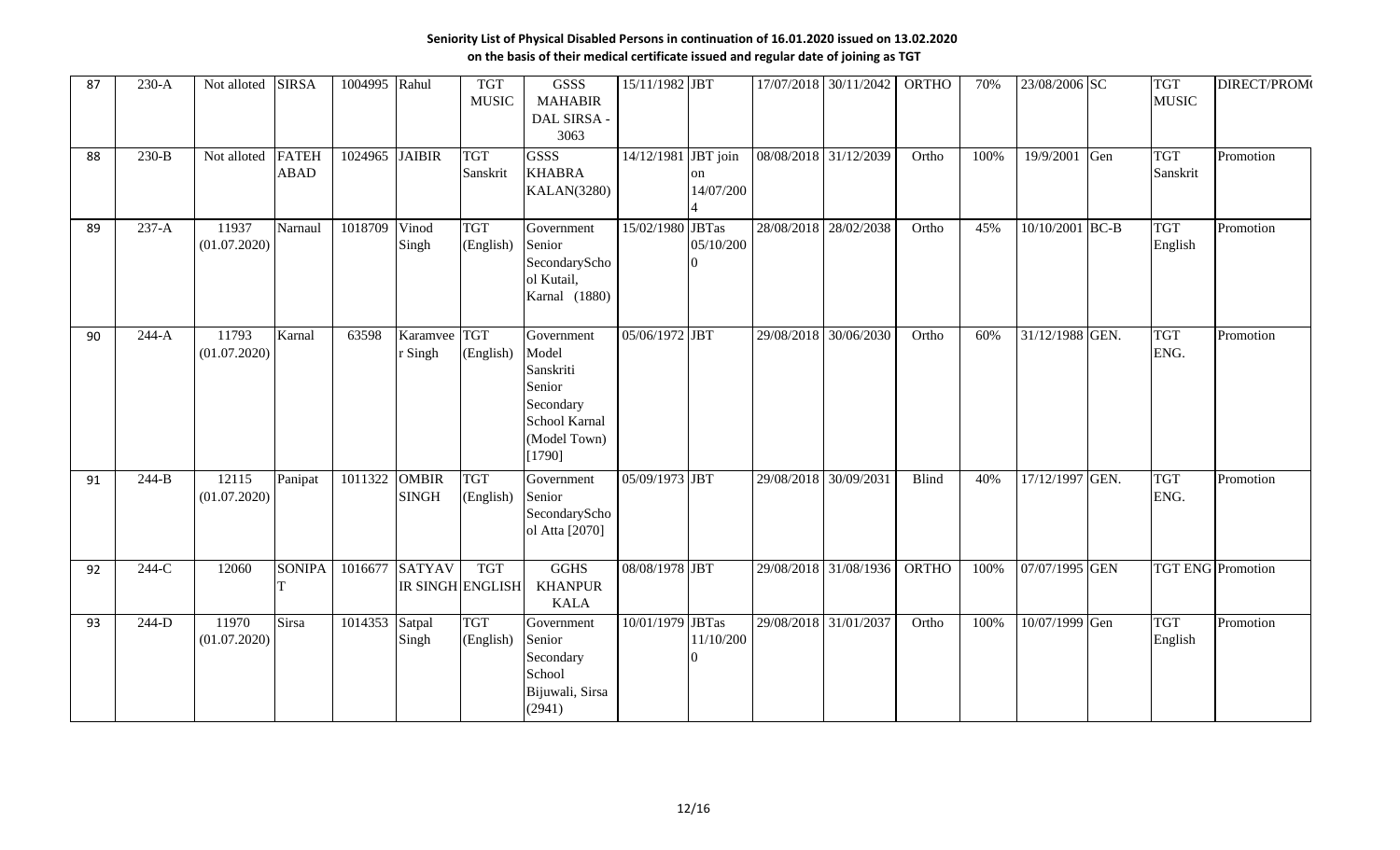| 87 | $230-A$ | Not alloted           | <b>SIRSA</b>       | 1004995 Rahul                |                         | <b>TGT</b><br><b>MUSIC</b>            | GSSS<br><b>MAHABIR</b><br>DAL SIRSA -<br>3063                                                      | 15/11/1982 JBT      |                 |                       | 17/07/2018 30/11/2042 | <b>ORTHO</b> | 70%  | 23/08/2006 SC   | <b>TGT</b><br><b>MUSIC</b> | DIRECT/PROM(             |
|----|---------|-----------------------|--------------------|------------------------------|-------------------------|---------------------------------------|----------------------------------------------------------------------------------------------------|---------------------|-----------------|-----------------------|-----------------------|--------------|------|-----------------|----------------------------|--------------------------|
| 88 | $230-B$ | Not alloted FATEH     | <b>ABAD</b>        | 1024965 JAIBIR               |                         | <b>TGT</b><br>Sanskrit                | <b>GSSS</b><br><b>KHABRA</b><br><b>KALAN(3280)</b>                                                 | 14/12/1981 JBT join | on<br>14/07/200 | 08/08/2018 31/12/2039 |                       | Ortho        | 100% | 19/9/2001 Gen   | <b>TGT</b><br>Sanskrit     | Promotion                |
| 89 | $237-A$ | 11937<br>(01.07.2020) | Narnaul            | 1018709                      | Vinod<br>Singh          | <b>TGT</b><br>(English)               | Government<br>Senior<br>SecondaryScho<br>ol Kutail,<br>Karnal (1880)                               | 15/02/1980 JBTas    | 05/10/200       | 28/08/2018 28/02/2038 |                       | Ortho        | 45%  | 10/10/2001 BC-B | <b>TGT</b><br>English      | Promotion                |
| 90 | $244-A$ | 11793<br>(01.07.2020) | Karnal             | 63598                        | Karamvee TGT<br>r Singh | (English)                             | Government<br>Model<br>Sanskriti<br>Senior<br>Secondary<br>School Karnal<br>(Model Town)<br>[1790] | 05/06/1972 JBT      |                 | 29/08/2018 30/06/2030 |                       | Ortho        | 60%  | 31/12/1988 GEN. | <b>TGT</b><br>ENG.         | Promotion                |
| 91 | $244-B$ | 12115<br>(01.07.2020) | Panipat            | 1011322 OMBIR                | <b>SINGH</b>            | <b>TGT</b><br>(English)               | Government<br>Senior<br>SecondaryScho<br>ol Atta [2070]                                            | 05/09/1973 JBT      |                 | 29/08/2018 30/09/2031 |                       | <b>Blind</b> | 40%  | 17/12/1997 GEN. | <b>TGT</b><br>ENG.         | Promotion                |
| 92 | 244-C   | 12060                 | <b>SONIPA</b><br>T |                              | 1016677 SATYAV          | <b>TGT</b><br><b>IR SINGH ENGLISH</b> | <b>GGHS</b><br><b>KHANPUR</b><br><b>KALA</b>                                                       | 08/08/1978 JBT      |                 |                       | 29/08/2018 31/08/1936 | <b>ORTHO</b> | 100% | 07/07/1995 GEN  |                            | <b>TGT ENG</b> Promotion |
| 93 | $244-D$ | 11970<br>(01.07.2020) | <b>Sirsa</b>       | $\overline{10}$ 14353 Satpal | Singh                   | <b>TGT</b><br>(English)               | Government<br>Senior<br>Secondary<br>School<br>Bijuwali, Sirsa<br>(2941)                           | 10/01/1979 JBTas    | 11/10/200       | 29/08/2018 31/01/2037 |                       | Ortho        | 100% | 10/07/1999 Gen  | <b>TGT</b><br>English      | Promotion                |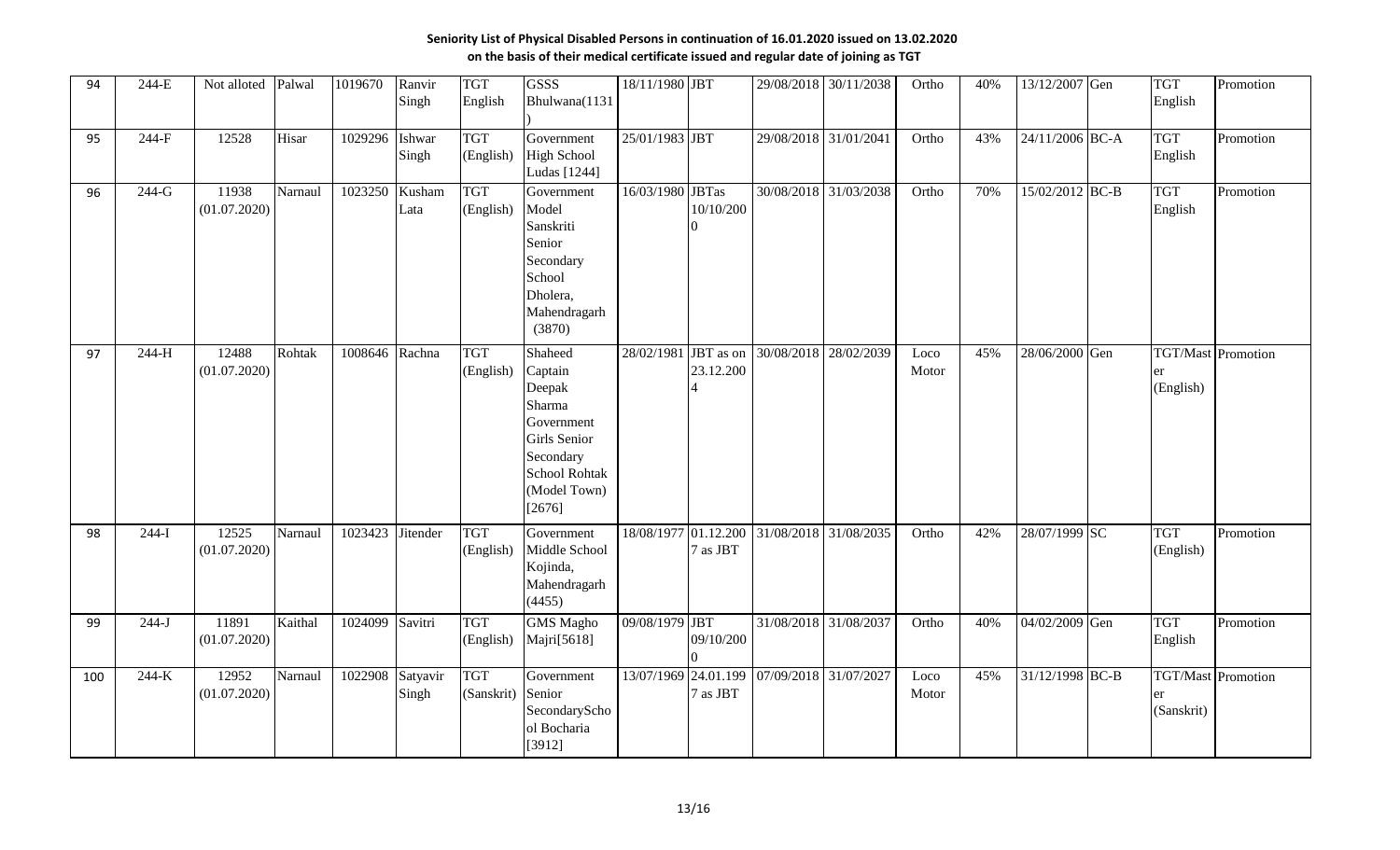| 94  | 244-E   | Not alloted           | Palwal  | 1019670        | Ranvir<br>Singh   | <b>TGT</b><br>English    | <b>GSSS</b><br>Bhulwana(1131                                                                                                               | 18/11/1980 JBT       |           |            | 29/08/2018 30/11/2038                      | Ortho         | 40% | 13/12/2007 Gen  | <b>TGT</b><br>English   | Promotion                 |
|-----|---------|-----------------------|---------|----------------|-------------------|--------------------------|--------------------------------------------------------------------------------------------------------------------------------------------|----------------------|-----------|------------|--------------------------------------------|---------------|-----|-----------------|-------------------------|---------------------------|
| 95  | $244-F$ | 12528                 | Hisar   | 1029296        | Ishwar<br>Singh   | <b>TGT</b><br>(English)  | Government<br><b>High School</b><br>Ludas [1244]                                                                                           | 25/01/1983 JBT       |           |            | 29/08/2018 31/01/2041                      | Ortho         | 43% | 24/11/2006 BC-A | <b>TGT</b><br>English   | Promotion                 |
| 96  | $244-G$ | 11938<br>(01.07.2020) | Narnaul | 1023250        | Kusham<br>Lata    | <b>TGT</b><br>(English)  | Government<br>Model<br>Sanskriti<br>Senior<br>Secondary<br>School<br>Dholera,<br>Mahendragarh<br>(3870)                                    | 16/03/1980 JBTas     | 10/10/200 | 30/08/2018 | 31/03/2038                                 | Ortho         | 70% | 15/02/2012 BC-B | <b>TGT</b><br>English   | Promotion                 |
| 97  | $244-H$ | 12488<br>(01.07.2020) | Rohtak  | 1008646 Rachna |                   | <b>TGT</b><br>(English)  | Shaheed<br>Captain<br>Deepak<br>Sharma<br>Government<br><b>Girls</b> Senior<br>Secondary<br><b>School Rohtak</b><br>(Model Town)<br>[2676] | 28/02/1981 JBT as on | 23.12.200 | 30/08/2018 | 28/02/2039                                 | Loco<br>Motor | 45% | 28/06/2000 Gen  | (English)               | <b>TGT/Mast Promotion</b> |
| 98  | $244-I$ | 12525<br>(01.07.2020) | Narnaul | 1023423        | Jitender          | <b>TGT</b><br>(English)  | Government<br>Middle School<br>Kojinda,<br>Mahendragarh<br>(4455)                                                                          | 18/08/1977 01.12.200 | 7 as JBT  | 31/08/2018 | 31/08/2035                                 | Ortho         | 42% | 28/07/1999 SC   | <b>TGT</b><br>(English) | Promotion                 |
| 99  | $244-J$ | 11891<br>(01.07.2020) | Kaithal | 1024099        | Savitri           | <b>TGT</b><br>(English)  | <b>GMS</b> Magho<br>Majri[5618]                                                                                                            | 09/08/1979 JBT       | 09/10/200 |            | 31/08/2018 31/08/2037                      | Ortho         | 40% | 04/02/2009 Gen  | <b>TGT</b><br>English   | Promotion                 |
| 100 | 244-K   | 12952<br>(01.07.2020) | Narnaul | 1022908        | Satyavir<br>Singh | <b>TGT</b><br>(Sanskrit) | Government<br>Senior<br>SecondaryScho<br>ol Bocharia<br>[3912]                                                                             |                      | 7 as JBT  |            | 13/07/1969 24.01.199 07/09/2018 31/07/2027 | Loco<br>Motor | 45% | 31/12/1998 BC-B | er<br>(Sanskrit)        | <b>TGT/Mast Promotion</b> |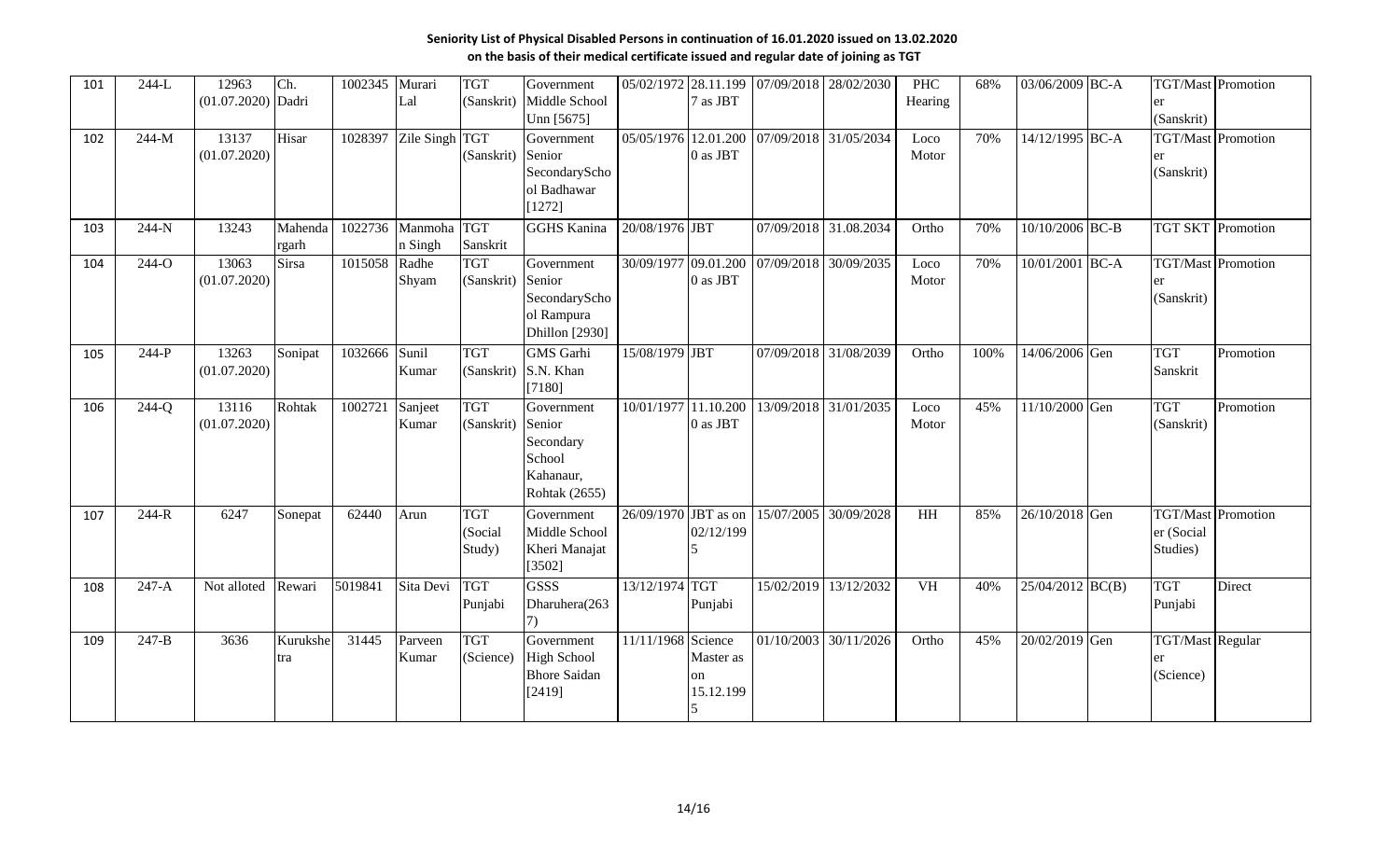| 101 | $244-L$   | 12963<br>(01.07.2020) Dadri | Ch.                           | 1002345 | Murari<br>Lal          | <b>TGT</b>                      | Government<br>(Sanskrit) Middle School                                       |                      | 7 as JBT                     | 05/02/1972 28.11.199 07/09/2018 28/02/2030 |                       | <b>PHC</b><br>Hearing | 68%  | 03/06/2009 BC-A    |                                            | <b>TGT/Mast</b> Promotion |
|-----|-----------|-----------------------------|-------------------------------|---------|------------------------|---------------------------------|------------------------------------------------------------------------------|----------------------|------------------------------|--------------------------------------------|-----------------------|-----------------------|------|--------------------|--------------------------------------------|---------------------------|
| 102 | $244-M$   | 13137<br>(01.07.2020)       | Hisar                         | 1028397 | Zile Singh TGT         | (Sanskrit)                      | Unn [5675]<br>Government<br>Senior<br>SecondaryScho<br>ol Badhawar<br>[1272] | 05/05/1976 12.01.200 | 0 as JBT                     | 07/09/2018 31/05/2034                      |                       | Loco<br>Motor         | 70%  | 14/12/1995 BC-A    | (Sanskrit)<br>(Sanskrit)                   | <b>TGT/Mast</b> Promotion |
| 103 | 244-N     | 13243                       | Mahenda <sup> </sup><br>rgarh | 1022736 | Manmoha TGT<br>n Singh | Sanskrit                        | <b>GGHS Kanina</b>                                                           | 20/08/1976 JBT       |                              |                                            | 07/09/2018 31.08.2034 | Ortho                 | 70%  | $10/10/2006$ BC-B  |                                            | <b>TGT SKT</b> Promotion  |
| 104 | 244-O     | 13063<br>(01.07.2020)       | <b>Sirsa</b>                  | 1015058 | Radhe<br>Shyam         | <b>TGT</b><br>(Sanskrit) Senior | Government<br>SecondaryScho<br>ol Rampura<br>Dhillon [2930]                  |                      | 0 as JBT                     | 30/09/1977 09.01.200 07/09/2018 30/09/2035 |                       | Loco<br>Motor         | 70%  | 10/01/2001 BC-A    | er<br>(Sanskrit)                           | TGT/Mast Promotion        |
| 105 | $244-P$   | 13263<br>(01.07.2020)       | Sonipat                       | 1032666 | Sunil<br>Kumar         | <b>TGT</b><br>(Sanskrit)        | <b>GMS</b> Garhi<br>S.N. Khan<br>[7180]                                      | 15/08/1979 JBT       |                              |                                            | 07/09/2018 31/08/2039 | Ortho                 | 100% | 14/06/2006 Gen     | <b>TGT</b><br>Sanskrit                     | Promotion                 |
| 106 | $244-Q$   | 13116<br>(01.07.2020)       | Rohtak                        | 1002721 | Sanjeet<br>Kumar       | <b>TGT</b><br>(Sanskrit)        | Government<br>Senior<br>Secondary<br>School<br>Kahanaur,<br>Rohtak (2655)    | 10/01/1977           | 11.10.200<br>0 as JBT        |                                            | 13/09/2018 31/01/2035 | Loco<br>Motor         | 45%  | 11/10/2000 Gen     | <b>TGT</b><br>(Sanskrit)                   | Promotion                 |
| 107 | $244-R$   | 6247                        | Sonepat                       | 62440   | Arun                   | <b>TGT</b><br>(Social<br>Study) | Government<br>Middle School<br>Kheri Manajat<br>[3502]                       | 26/09/1970 JBT as on | 02/12/199                    |                                            | 15/07/2005 30/09/2028 | HH                    | 85%  | 26/10/2018 Gen     | er (Social<br>Studies)                     | <b>TGT/Mast</b> Promotion |
| 108 | $247-A$   | Not alloted                 | Rewari                        | 5019841 | Sita Devi              | <b>TGT</b><br>Punjabi           | <b>GSSS</b><br>Dharuhera(263                                                 | 13/12/1974           | <b>TGT</b><br>Punjabi        |                                            | 15/02/2019 13/12/2032 | <b>VH</b>             | 40%  | $25/04/2012$ BC(B) | <b>TGT</b><br>Punjabi                      | Direct                    |
| 109 | $247 - B$ | 3636                        | Kurukshe<br>tra               | 31445   | Parveen<br>Kumar       | <b>TGT</b><br>(Science)         | Government<br><b>High School</b><br><b>Bhore Saidan</b><br>[2419]            | 11/11/1968 Science   | Master as<br>on<br>15.12.199 |                                            | 01/10/2003 30/11/2026 | Ortho                 | 45%  | 20/02/2019 Gen     | <b>TGT/Mast Regular</b><br>er<br>(Science) |                           |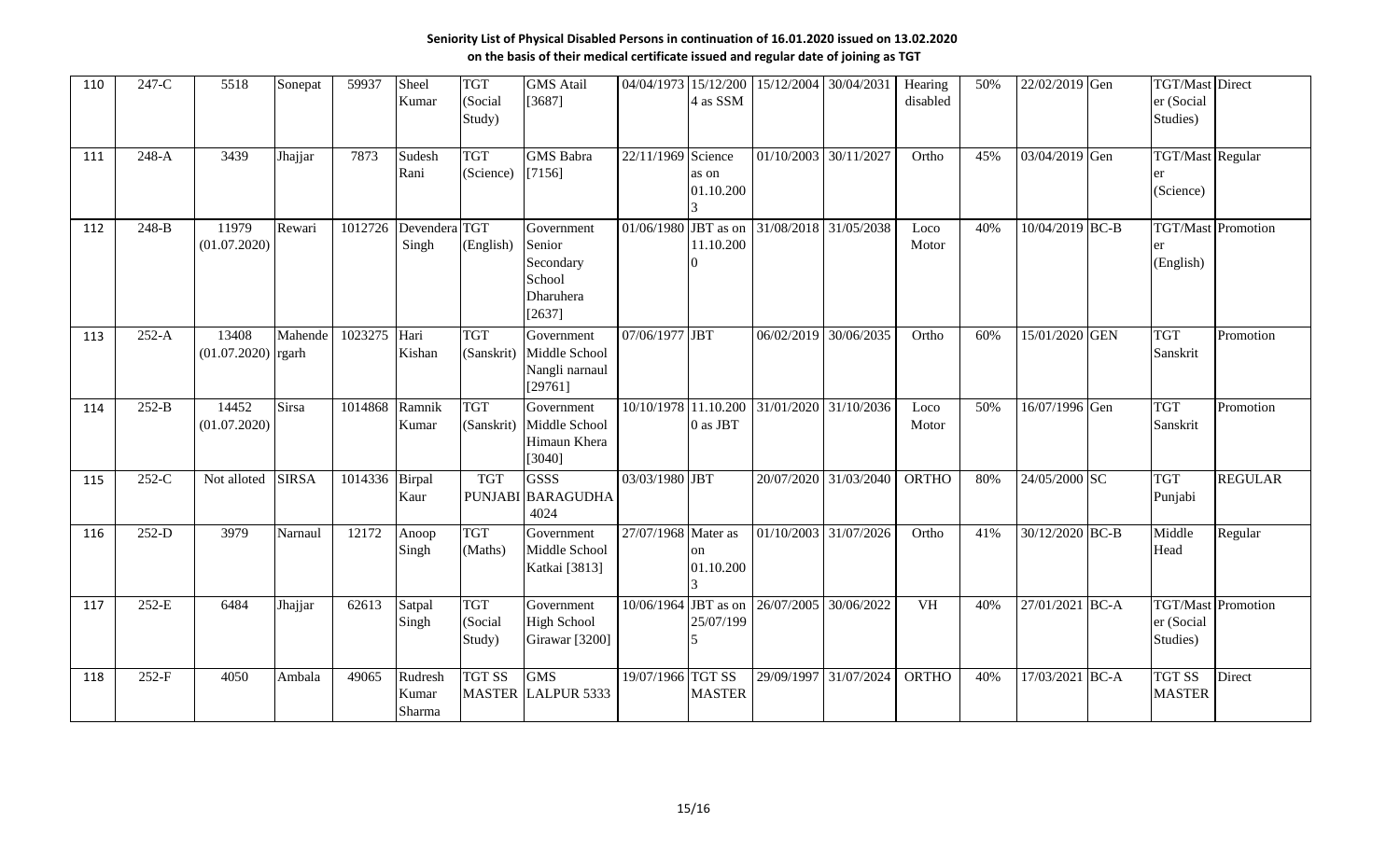| 110 | 247-C   | 5518                          | Sonepat      | 59937          | Sheel<br>Kumar             | <b>TGT</b><br>(Social<br>Study) | <b>GMS</b> Atail<br>[3687]                                         |                     | 4 as SSM              |                       | 04/04/1973 15/12/200 15/12/2004 30/04/2031   | Hearing<br>disabled | 50% | 22/02/2019 Gen  | <b>TGT/Mast Direct</b><br>er (Social<br>Studies) |                           |
|-----|---------|-------------------------------|--------------|----------------|----------------------------|---------------------------------|--------------------------------------------------------------------|---------------------|-----------------------|-----------------------|----------------------------------------------|---------------------|-----|-----------------|--------------------------------------------------|---------------------------|
| 111 | $248-A$ | 3439                          | Jhajjar      | 7873           | Sudesh<br>Rani             | <b>TGT</b><br>(Science)         | <b>GMS</b> Babra<br>[7156]                                         | 22/11/1969 Science  | as on<br>01.10.200    | 01/10/2003 30/11/2027 |                                              | Ortho               | 45% | 03/04/2019 Gen  | <b>TGT/Mast Regular</b><br>(Science)             |                           |
| 112 | 248-B   | 11979<br>(01.07.2020)         | Rewari       | 1012726        | Devendera TGT<br>Singh     | (English)                       | Government<br>Senior<br>Secondary<br>School<br>Dharuhera<br>[2637] |                     | 11.10.200             |                       | 01/06/1980 JBT as on $31/08/2018$ 31/05/2038 | Loco<br>Motor       | 40% | 10/04/2019 BC-B | er<br>(English)                                  | <b>TGT/Mast</b> Promotion |
| 113 | $252-A$ | 13408<br>$(01.07.2020)$ rgarh | Mahende      | 1023275        | Hari<br>Kishan             | <b>TGT</b><br>(Sanskrit)        | Government<br>Middle School<br>Nangli narnaul<br>[29761]           | 07/06/1977 JBT      |                       | 06/02/2019            | 30/06/2035                                   | Ortho               | 60% | 15/01/2020 GEN  | <b>TGT</b><br>Sanskrit                           | Promotion                 |
| 114 | $252-B$ | 14452<br>(01.07.2020)         | Sirsa        | 1014868        | Ramnik<br>Kumar            | <b>TGT</b><br>(Sanskrit)        | Government<br>Middle School<br>Himaun Khera<br>[3040]              | 10/10/1978          | 11.10.200<br>0 as JBT |                       | 31/01/2020 31/10/2036                        | Loco<br>Motor       | 50% | 16/07/1996 Gen  | <b>TGT</b><br>Sanskrit                           | Promotion                 |
| 115 | $252-C$ | Not alloted                   | <b>SIRSA</b> | 1014336 Birpal | Kaur                       | <b>TGT</b>                      | <b>GSSS</b><br>PUNJABI BARAGUDHA<br>4024                           | 03/03/1980 JBT      |                       |                       | 20/07/2020 31/03/2040                        | ORTHO               | 80% | 24/05/2000 SC   | <b>TGT</b><br>Punjabi                            | <b>REGULAR</b>            |
| 116 | $252-D$ | 3979                          | Narnaul      | 12172          | Anoop<br>Singh             | <b>TGT</b><br>(Maths)           | Government<br>Middle School<br>Katkai [3813]                       | 27/07/1968 Mater as | on<br>01.10.200       |                       | 01/10/2003 31/07/2026                        | Ortho               | 41% | 30/12/2020 BC-B | Middle<br>Head                                   | Regular                   |
| 117 | $252-E$ | 6484                          | Jhajjar      | 62613          | Satpal<br>Singh            | <b>TGT</b><br>(Social<br>Study) | Government<br><b>High School</b><br>Girawar <sup>[3200]</sup>      | 10/06/1964          | 25/07/199             | JBT as on 26/07/2005  | 30/06/2022                                   | <b>VH</b>           | 40% | 27/01/2021 BC-A | er (Social<br>Studies)                           | <b>TGT/Mast</b> Promotion |
| 118 | $252-F$ | 4050                          | Ambala       | 49065          | Rudresh<br>Kumar<br>Sharma | <b>TGT SS</b>                   | <b>GMS</b><br><b>MASTER LALPUR 5333</b>                            | 19/07/1966 TGT SS   | <b>MASTER</b>         |                       | 29/09/1997 31/07/2024                        | <b>ORTHO</b>        | 40% | 17/03/2021 BC-A | <b>TGT SS</b><br><b>MASTER</b>                   | Direct                    |